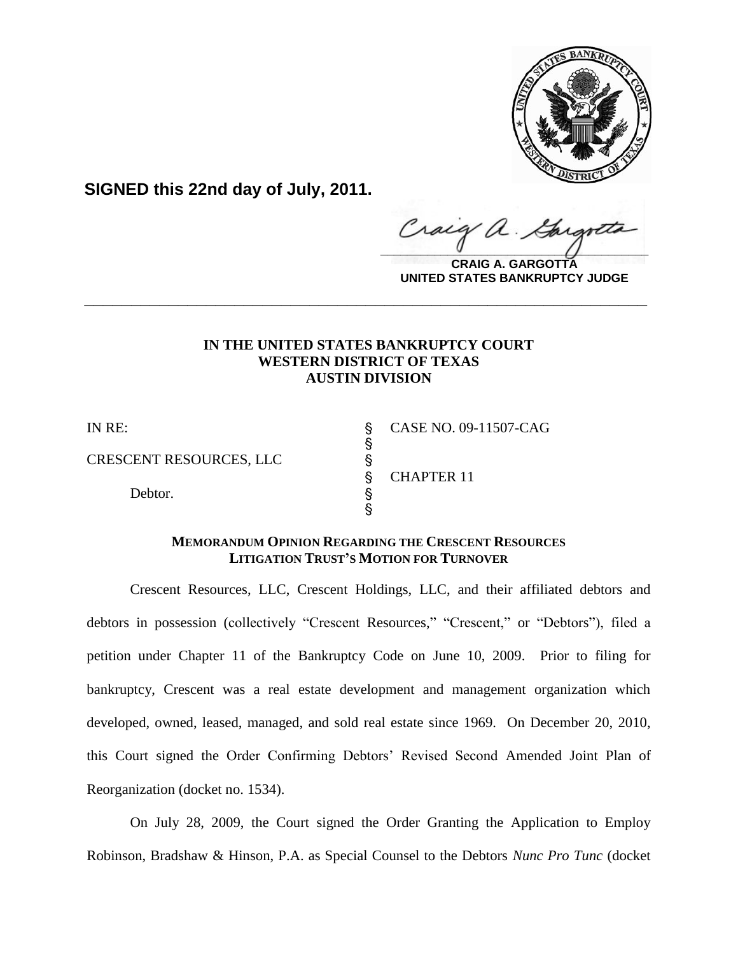

**SIGNED this 22nd day of July, 2011.**

craig  $\frac{1}{2}$ 

**CRAIG A. GARGOTTA UNITED STATES BANKRUPTCY JUDGE**

# **IN THE UNITED STATES BANKRUPTCY COURT WESTERN DISTRICT OF TEXAS AUSTIN DIVISION**

**\_\_\_\_\_\_\_\_\_\_\_\_\_\_\_\_\_\_\_\_\_\_\_\_\_\_\_\_\_\_\_\_\_\_\_\_\_\_\_\_\_\_\_\_\_\_\_\_\_\_\_\_\_\_\_\_\_\_\_\_**

CRESCENT RESOURCES, LLC '

en andere de la provincia de la provincia de la provincia de la provincia de la provincia de la provincia de l

Debtor.  $\S$ 

IN RE: \$ CASE NO. 09-11507-CAG ' CHAPTER 11

# **MEMORANDUM OPINION REGARDING THE CRESCENT RESOURCES LITIGATION TRUST'S MOTION FOR TURNOVER**

**့**<br>ကော

Crescent Resources, LLC, Crescent Holdings, LLC, and their affiliated debtors and debtors in possession (collectively "Crescent Resources," "Crescent," or "Debtors"), filed a petition under Chapter 11 of the Bankruptcy Code on June 10, 2009. Prior to filing for bankruptcy, Crescent was a real estate development and management organization which developed, owned, leased, managed, and sold real estate since 1969. On December 20, 2010, this Court signed the Order Confirming Debtors' Revised Second Amended Joint Plan of Reorganization (docket no. 1534).

On July 28, 2009, the Court signed the Order Granting the Application to Employ Robinson, Bradshaw & Hinson, P.A. as Special Counsel to the Debtors *Nunc Pro Tunc* (docket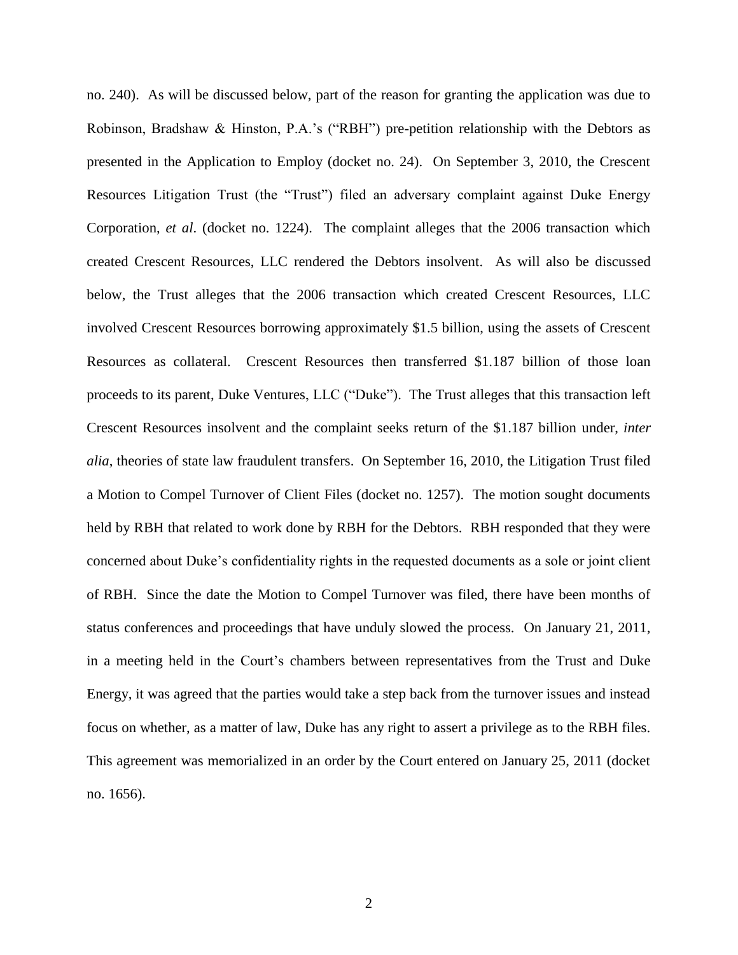no. 240). As will be discussed below, part of the reason for granting the application was due to Robinson, Bradshaw & Hinston, P.A.'s ("RBH") pre-petition relationship with the Debtors as presented in the Application to Employ (docket no. 24). On September 3, 2010, the Crescent Resources Litigation Trust (the "Trust") filed an adversary complaint against Duke Energy Corporation, *et al*. (docket no. 1224). The complaint alleges that the 2006 transaction which created Crescent Resources, LLC rendered the Debtors insolvent. As will also be discussed below, the Trust alleges that the 2006 transaction which created Crescent Resources, LLC involved Crescent Resources borrowing approximately \$1.5 billion, using the assets of Crescent Resources as collateral. Crescent Resources then transferred \$1.187 billion of those loan proceeds to its parent, Duke Ventures, LLC ("Duke"). The Trust alleges that this transaction left Crescent Resources insolvent and the complaint seeks return of the \$1.187 billion under, *inter alia*, theories of state law fraudulent transfers. On September 16, 2010, the Litigation Trust filed a Motion to Compel Turnover of Client Files (docket no. 1257). The motion sought documents held by RBH that related to work done by RBH for the Debtors. RBH responded that they were concerned about Duke's confidentiality rights in the requested documents as a sole or joint client of RBH. Since the date the Motion to Compel Turnover was filed, there have been months of status conferences and proceedings that have unduly slowed the process. On January 21, 2011, in a meeting held in the Court's chambers between representatives from the Trust and Duke Energy, it was agreed that the parties would take a step back from the turnover issues and instead focus on whether, as a matter of law, Duke has any right to assert a privilege as to the RBH files. This agreement was memorialized in an order by the Court entered on January 25, 2011 (docket no. 1656).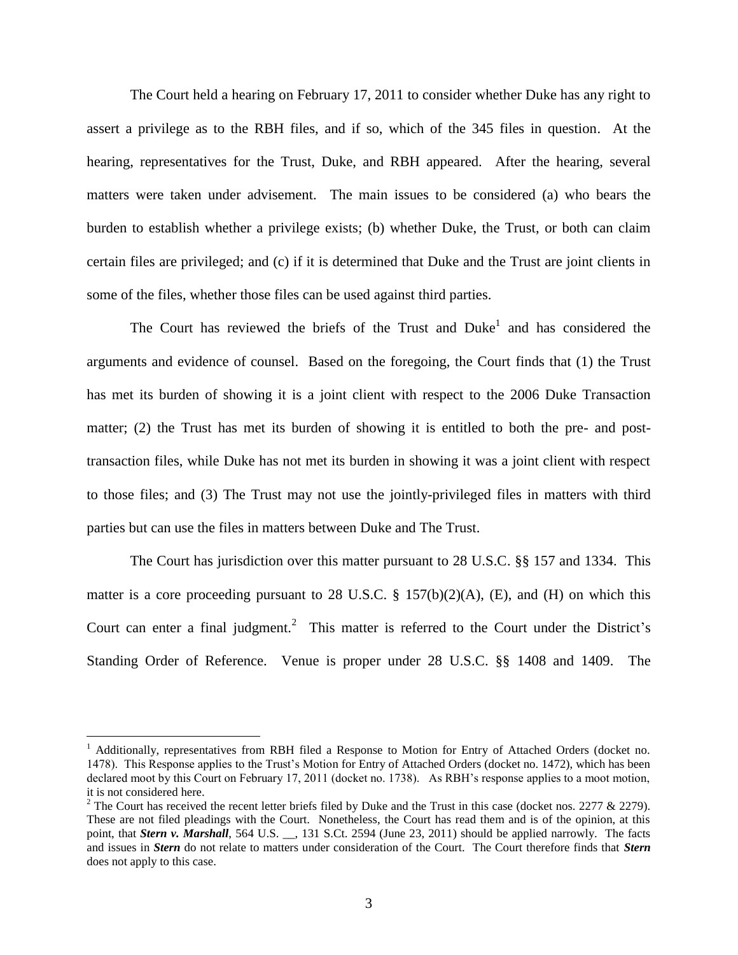The Court held a hearing on February 17, 2011 to consider whether Duke has any right to assert a privilege as to the RBH files, and if so, which of the 345 files in question. At the hearing, representatives for the Trust, Duke, and RBH appeared. After the hearing, several matters were taken under advisement. The main issues to be considered (a) who bears the burden to establish whether a privilege exists; (b) whether Duke, the Trust, or both can claim certain files are privileged; and (c) if it is determined that Duke and the Trust are joint clients in some of the files, whether those files can be used against third parties.

The Court has reviewed the briefs of the Trust and  $Duke<sup>1</sup>$  and has considered the arguments and evidence of counsel. Based on the foregoing, the Court finds that (1) the Trust has met its burden of showing it is a joint client with respect to the 2006 Duke Transaction matter; (2) the Trust has met its burden of showing it is entitled to both the pre- and posttransaction files, while Duke has not met its burden in showing it was a joint client with respect to those files; and (3) The Trust may not use the jointly-privileged files in matters with third parties but can use the files in matters between Duke and The Trust.

The Court has jurisdiction over this matter pursuant to 28 U.S.C. §§ 157 and 1334. This matter is a core proceeding pursuant to 28 U.S.C.  $\S$  157(b)(2)(A), (E), and (H) on which this Court can enter a final judgment.<sup>2</sup> This matter is referred to the Court under the District's Standing Order of Reference. Venue is proper under 28 U.S.C. §§ 1408 and 1409. The

 $\overline{a}$ 

<sup>&</sup>lt;sup>1</sup> Additionally, representatives from RBH filed a Response to Motion for Entry of Attached Orders (docket no. 1478). This Response applies to the Trust's Motion for Entry of Attached Orders (docket no. 1472), which has been declared moot by this Court on February 17, 2011 (docket no. 1738). As RBH's response applies to a moot motion, it is not considered here.

<sup>&</sup>lt;sup>2</sup> The Court has received the recent letter briefs filed by Duke and the Trust in this case (docket nos. 2277  $& 2279$ ). These are not filed pleadings with the Court. Nonetheless, the Court has read them and is of the opinion, at this point, that *Stern v. Marshall*, 564 U.S. \_\_, 131 S.Ct. 2594 (June 23, 2011) should be applied narrowly. The facts and issues in *Stern* do not relate to matters under consideration of the Court. The Court therefore finds that *Stern*  does not apply to this case.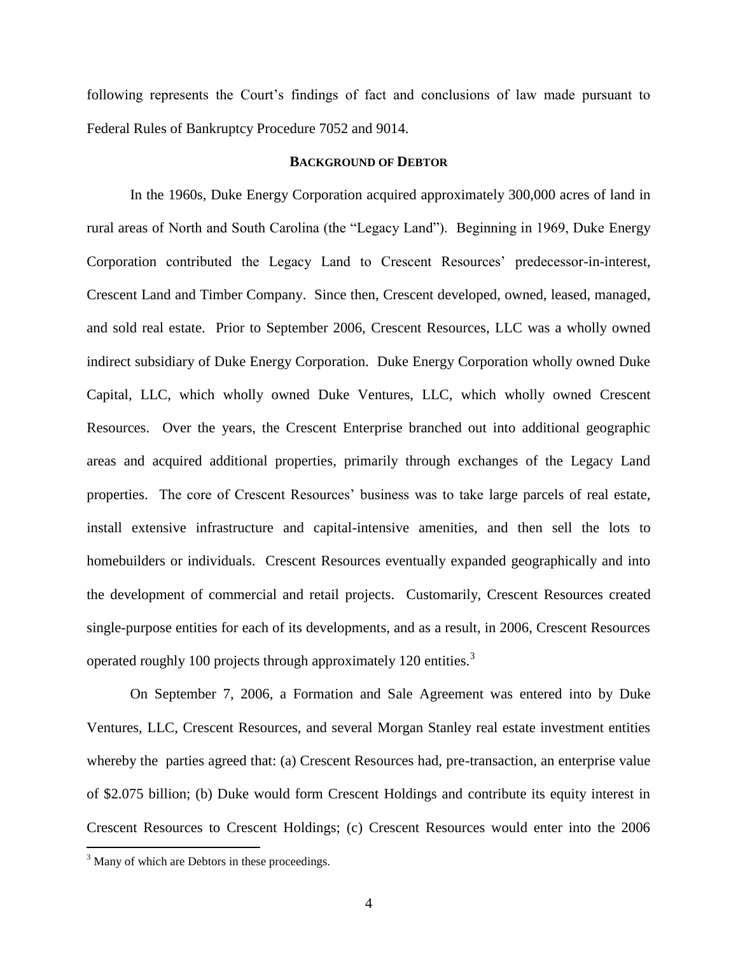following represents the Court's findings of fact and conclusions of law made pursuant to Federal Rules of Bankruptcy Procedure 7052 and 9014.

### **BACKGROUND OF DEBTOR**

In the 1960s, Duke Energy Corporation acquired approximately 300,000 acres of land in rural areas of North and South Carolina (the "Legacy Land"). Beginning in 1969, Duke Energy Corporation contributed the Legacy Land to Crescent Resources' predecessor-in-interest, Crescent Land and Timber Company. Since then, Crescent developed, owned, leased, managed, and sold real estate. Prior to September 2006, Crescent Resources, LLC was a wholly owned indirect subsidiary of Duke Energy Corporation. Duke Energy Corporation wholly owned Duke Capital, LLC, which wholly owned Duke Ventures, LLC, which wholly owned Crescent Resources. Over the years, the Crescent Enterprise branched out into additional geographic areas and acquired additional properties, primarily through exchanges of the Legacy Land properties. The core of Crescent Resources' business was to take large parcels of real estate, install extensive infrastructure and capital-intensive amenities, and then sell the lots to homebuilders or individuals. Crescent Resources eventually expanded geographically and into the development of commercial and retail projects. Customarily, Crescent Resources created single-purpose entities for each of its developments, and as a result, in 2006, Crescent Resources operated roughly 100 projects through approximately 120 entities.<sup>3</sup>

On September 7, 2006, a Formation and Sale Agreement was entered into by Duke Ventures, LLC, Crescent Resources, and several Morgan Stanley real estate investment entities whereby the parties agreed that: (a) Crescent Resources had, pre-transaction, an enterprise value of \$2.075 billion; (b) Duke would form Crescent Holdings and contribute its equity interest in Crescent Resources to Crescent Holdings; (c) Crescent Resources would enter into the 2006

 $\overline{a}$ 

 $3$  Many of which are Debtors in these proceedings.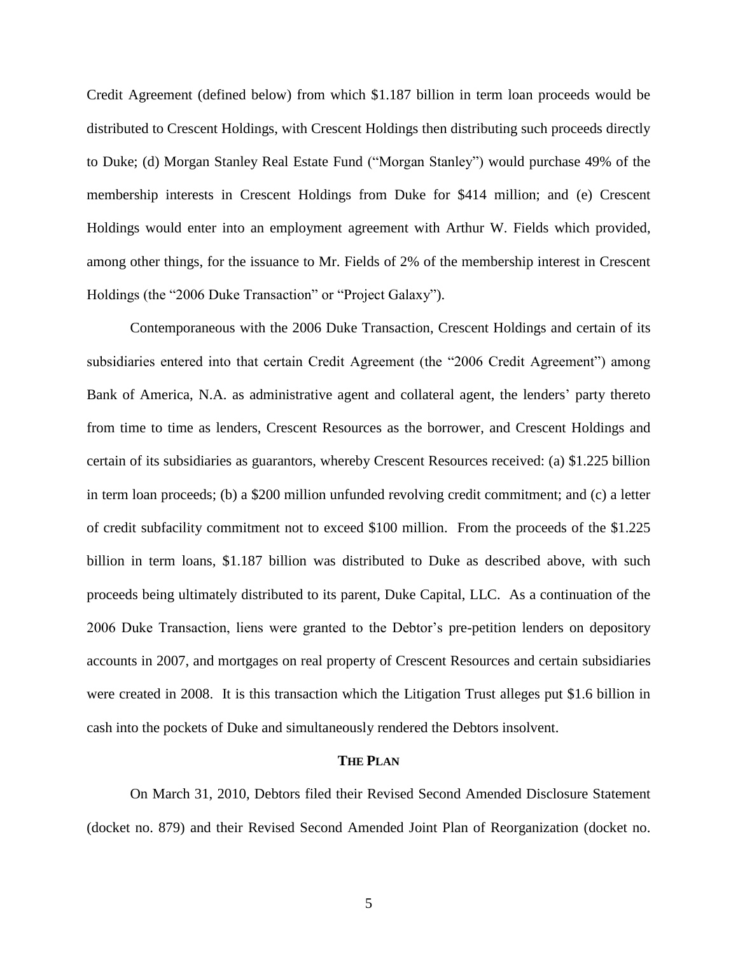Credit Agreement (defined below) from which \$1.187 billion in term loan proceeds would be distributed to Crescent Holdings, with Crescent Holdings then distributing such proceeds directly to Duke; (d) Morgan Stanley Real Estate Fund ("Morgan Stanley") would purchase 49% of the membership interests in Crescent Holdings from Duke for \$414 million; and (e) Crescent Holdings would enter into an employment agreement with Arthur W. Fields which provided, among other things, for the issuance to Mr. Fields of 2% of the membership interest in Crescent Holdings (the "2006 Duke Transaction" or "Project Galaxy").

Contemporaneous with the 2006 Duke Transaction, Crescent Holdings and certain of its subsidiaries entered into that certain Credit Agreement (the "2006 Credit Agreement") among Bank of America, N.A. as administrative agent and collateral agent, the lenders' party thereto from time to time as lenders, Crescent Resources as the borrower, and Crescent Holdings and certain of its subsidiaries as guarantors, whereby Crescent Resources received: (a) \$1.225 billion in term loan proceeds; (b) a \$200 million unfunded revolving credit commitment; and (c) a letter of credit subfacility commitment not to exceed \$100 million. From the proceeds of the \$1.225 billion in term loans, \$1.187 billion was distributed to Duke as described above, with such proceeds being ultimately distributed to its parent, Duke Capital, LLC. As a continuation of the 2006 Duke Transaction, liens were granted to the Debtor's pre-petition lenders on depository accounts in 2007, and mortgages on real property of Crescent Resources and certain subsidiaries were created in 2008. It is this transaction which the Litigation Trust alleges put \$1.6 billion in cash into the pockets of Duke and simultaneously rendered the Debtors insolvent.

#### **THE PLAN**

On March 31, 2010, Debtors filed their Revised Second Amended Disclosure Statement (docket no. 879) and their Revised Second Amended Joint Plan of Reorganization (docket no.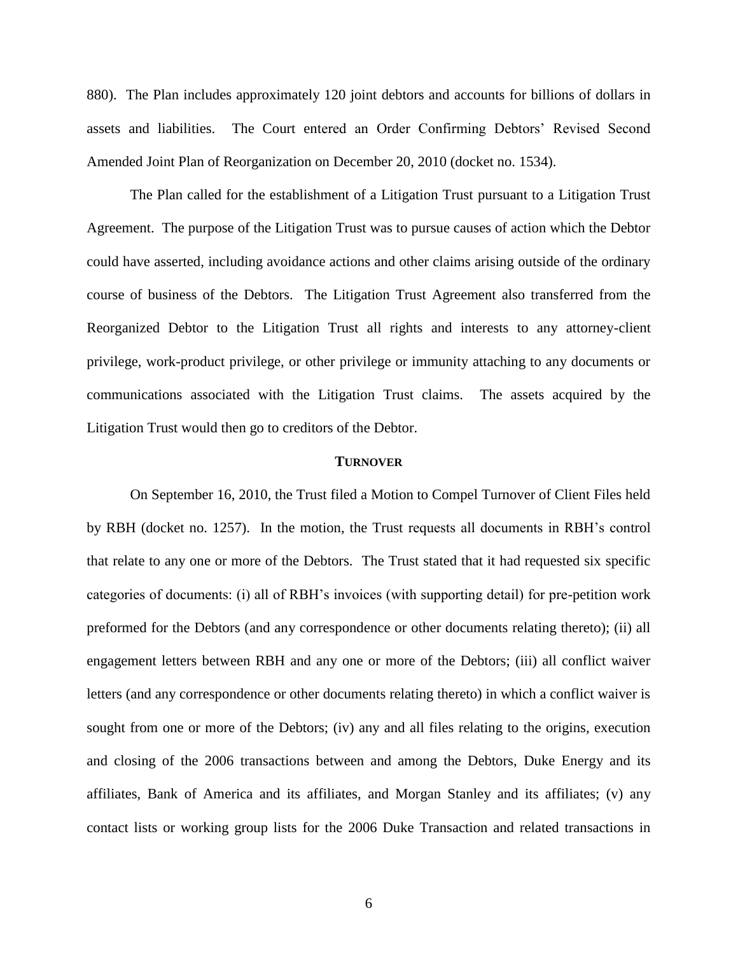880). The Plan includes approximately 120 joint debtors and accounts for billions of dollars in assets and liabilities. The Court entered an Order Confirming Debtors' Revised Second Amended Joint Plan of Reorganization on December 20, 2010 (docket no. 1534).

The Plan called for the establishment of a Litigation Trust pursuant to a Litigation Trust Agreement. The purpose of the Litigation Trust was to pursue causes of action which the Debtor could have asserted, including avoidance actions and other claims arising outside of the ordinary course of business of the Debtors. The Litigation Trust Agreement also transferred from the Reorganized Debtor to the Litigation Trust all rights and interests to any attorney-client privilege, work-product privilege, or other privilege or immunity attaching to any documents or communications associated with the Litigation Trust claims. The assets acquired by the Litigation Trust would then go to creditors of the Debtor.

#### **TURNOVER**

On September 16, 2010, the Trust filed a Motion to Compel Turnover of Client Files held by RBH (docket no. 1257). In the motion, the Trust requests all documents in RBH's control that relate to any one or more of the Debtors. The Trust stated that it had requested six specific categories of documents: (i) all of RBH's invoices (with supporting detail) for pre-petition work preformed for the Debtors (and any correspondence or other documents relating thereto); (ii) all engagement letters between RBH and any one or more of the Debtors; (iii) all conflict waiver letters (and any correspondence or other documents relating thereto) in which a conflict waiver is sought from one or more of the Debtors; (iv) any and all files relating to the origins, execution and closing of the 2006 transactions between and among the Debtors, Duke Energy and its affiliates, Bank of America and its affiliates, and Morgan Stanley and its affiliates; (v) any contact lists or working group lists for the 2006 Duke Transaction and related transactions in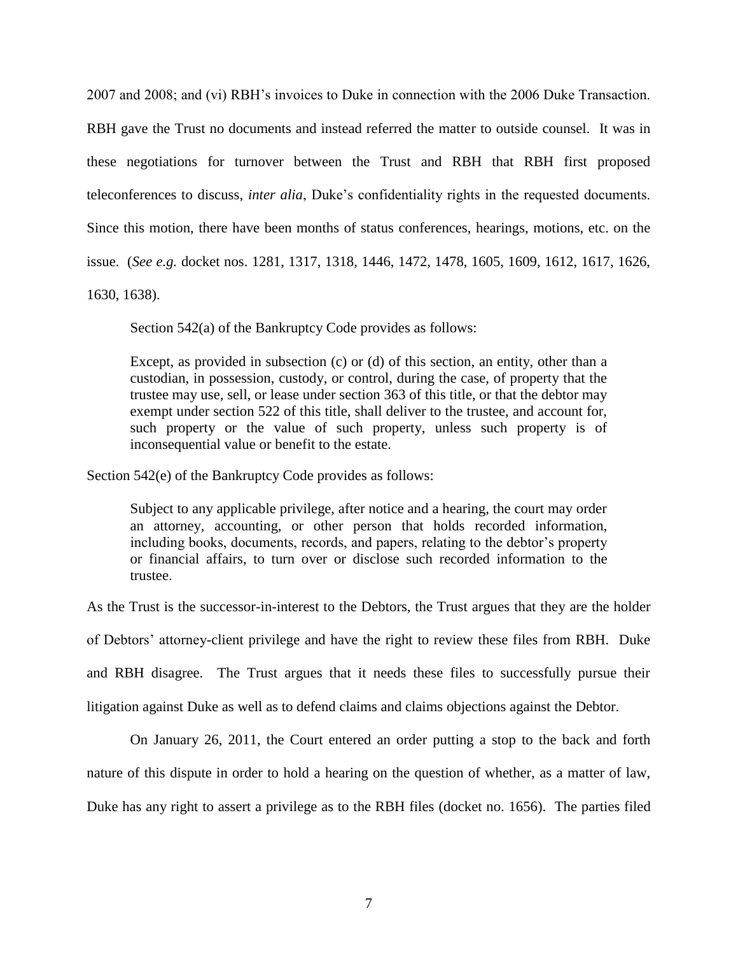2007 and 2008; and (vi) RBH's invoices to Duke in connection with the 2006 Duke Transaction. RBH gave the Trust no documents and instead referred the matter to outside counsel. It was in these negotiations for turnover between the Trust and RBH that RBH first proposed teleconferences to discuss, *inter alia*, Duke's confidentiality rights in the requested documents. Since this motion, there have been months of status conferences, hearings, motions, etc. on the issue. (*See e.g.* docket nos. 1281, 1317, 1318, 1446, 1472, 1478, 1605, 1609, 1612, 1617, 1626, 1630, 1638).

Section 542(a) of the Bankruptcy Code provides as follows:

Except, as provided in subsection (c) or (d) of this section, an entity, other than a custodian, in possession, custody, or control, during the case, of property that the trustee may use, sell, or lease under section 363 of this title, or that the debtor may exempt under section 522 of this title, shall deliver to the trustee, and account for, such property or the value of such property, unless such property is of inconsequential value or benefit to the estate.

Section 542(e) of the Bankruptcy Code provides as follows:

Subject to any applicable privilege, after notice and a hearing, the court may order an attorney, accounting, or other person that holds recorded information, including books, documents, records, and papers, relating to the debtor's property or financial affairs, to turn over or disclose such recorded information to the trustee.

As the Trust is the successor-in-interest to the Debtors, the Trust argues that they are the holder of Debtors' attorney-client privilege and have the right to review these files from RBH. Duke and RBH disagree. The Trust argues that it needs these files to successfully pursue their litigation against Duke as well as to defend claims and claims objections against the Debtor.

On January 26, 2011, the Court entered an order putting a stop to the back and forth nature of this dispute in order to hold a hearing on the question of whether, as a matter of law, Duke has any right to assert a privilege as to the RBH files (docket no. 1656). The parties filed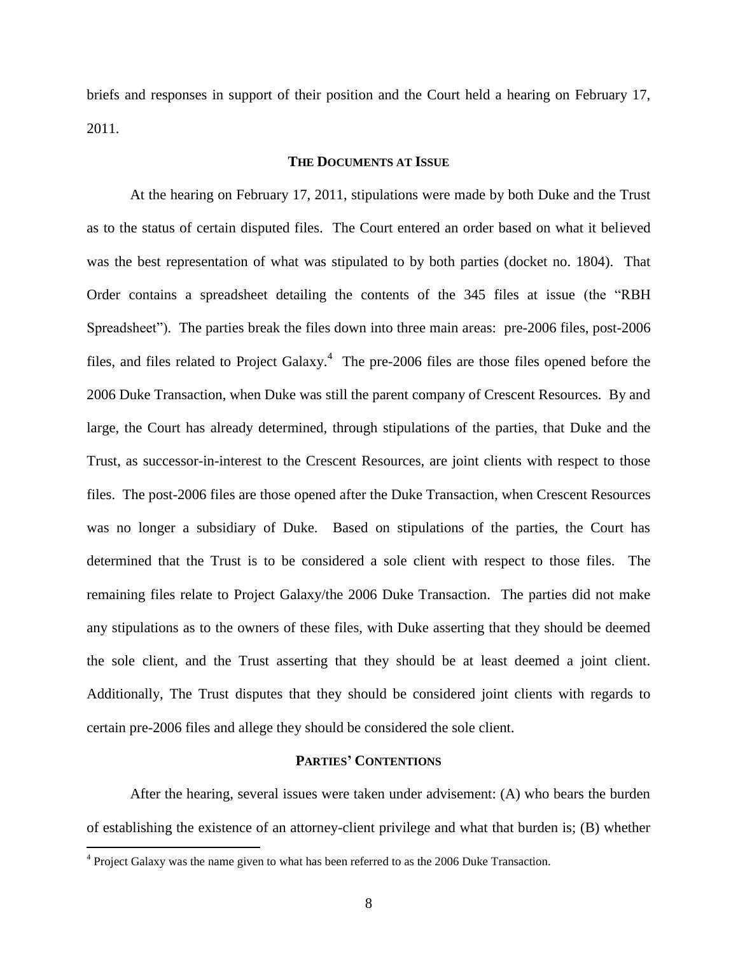briefs and responses in support of their position and the Court held a hearing on February 17, 2011.

### **THE DOCUMENTS AT ISSUE**

At the hearing on February 17, 2011, stipulations were made by both Duke and the Trust as to the status of certain disputed files. The Court entered an order based on what it believed was the best representation of what was stipulated to by both parties (docket no. 1804). That Order contains a spreadsheet detailing the contents of the 345 files at issue (the "RBH Spreadsheet"). The parties break the files down into three main areas: pre-2006 files, post-2006 files, and files related to Project Galaxy.<sup>4</sup> The pre-2006 files are those files opened before the 2006 Duke Transaction, when Duke was still the parent company of Crescent Resources. By and large, the Court has already determined, through stipulations of the parties, that Duke and the Trust, as successor-in-interest to the Crescent Resources, are joint clients with respect to those files. The post-2006 files are those opened after the Duke Transaction, when Crescent Resources was no longer a subsidiary of Duke. Based on stipulations of the parties, the Court has determined that the Trust is to be considered a sole client with respect to those files. The remaining files relate to Project Galaxy/the 2006 Duke Transaction. The parties did not make any stipulations as to the owners of these files, with Duke asserting that they should be deemed the sole client, and the Trust asserting that they should be at least deemed a joint client. Additionally, The Trust disputes that they should be considered joint clients with regards to certain pre-2006 files and allege they should be considered the sole client.

## **PARTIES' CONTENTIONS**

After the hearing, several issues were taken under advisement: (A) who bears the burden of establishing the existence of an attorney-client privilege and what that burden is; (B) whether

 $\overline{a}$ 

 $4$  Project Galaxy was the name given to what has been referred to as the 2006 Duke Transaction.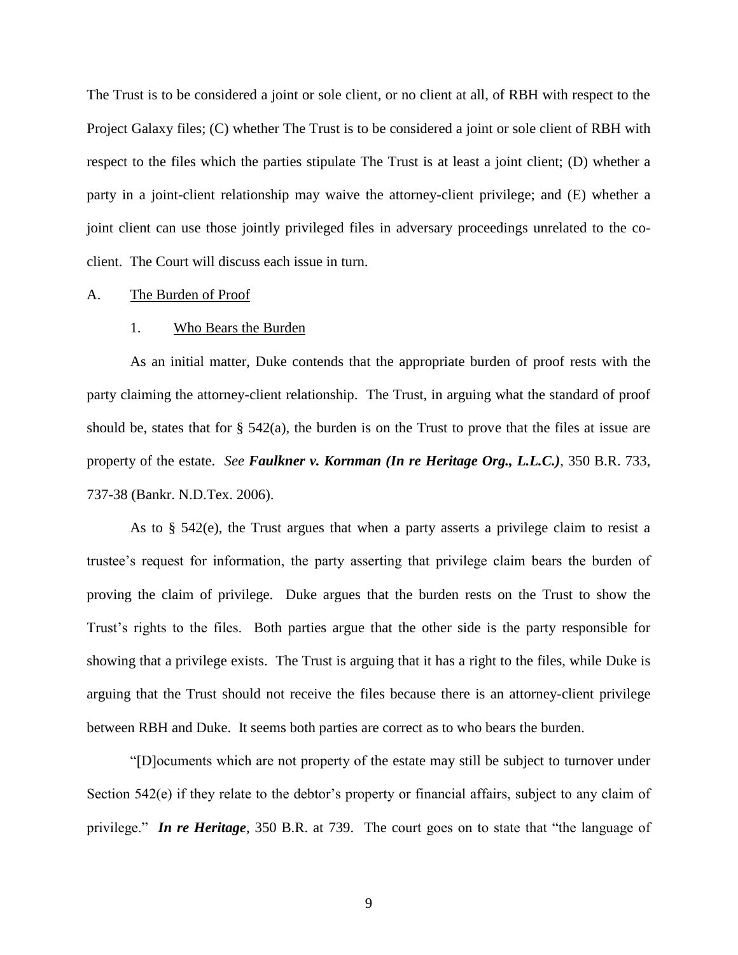The Trust is to be considered a joint or sole client, or no client at all, of RBH with respect to the Project Galaxy files; (C) whether The Trust is to be considered a joint or sole client of RBH with respect to the files which the parties stipulate The Trust is at least a joint client; (D) whether a party in a joint-client relationship may waive the attorney-client privilege; and (E) whether a joint client can use those jointly privileged files in adversary proceedings unrelated to the coclient. The Court will discuss each issue in turn.

### A. The Burden of Proof

#### 1. Who Bears the Burden

As an initial matter, Duke contends that the appropriate burden of proof rests with the party claiming the attorney-client relationship. The Trust, in arguing what the standard of proof should be, states that for § 542(a), the burden is on the Trust to prove that the files at issue are property of the estate. *See Faulkner v. Kornman (In re Heritage Org., L.L.C.)*, 350 B.R. 733, 737-38 (Bankr. N.D.Tex. 2006).

As to § 542(e), the Trust argues that when a party asserts a privilege claim to resist a trustee's request for information, the party asserting that privilege claim bears the burden of proving the claim of privilege. Duke argues that the burden rests on the Trust to show the Trust's rights to the files. Both parties argue that the other side is the party responsible for showing that a privilege exists. The Trust is arguing that it has a right to the files, while Duke is arguing that the Trust should not receive the files because there is an attorney-client privilege between RBH and Duke. It seems both parties are correct as to who bears the burden.

―[D]ocuments which are not property of the estate may still be subject to turnover under Section 542(e) if they relate to the debtor's property or financial affairs, subject to any claim of privilege." *In re Heritage*, 350 B.R. at 739. The court goes on to state that "the language of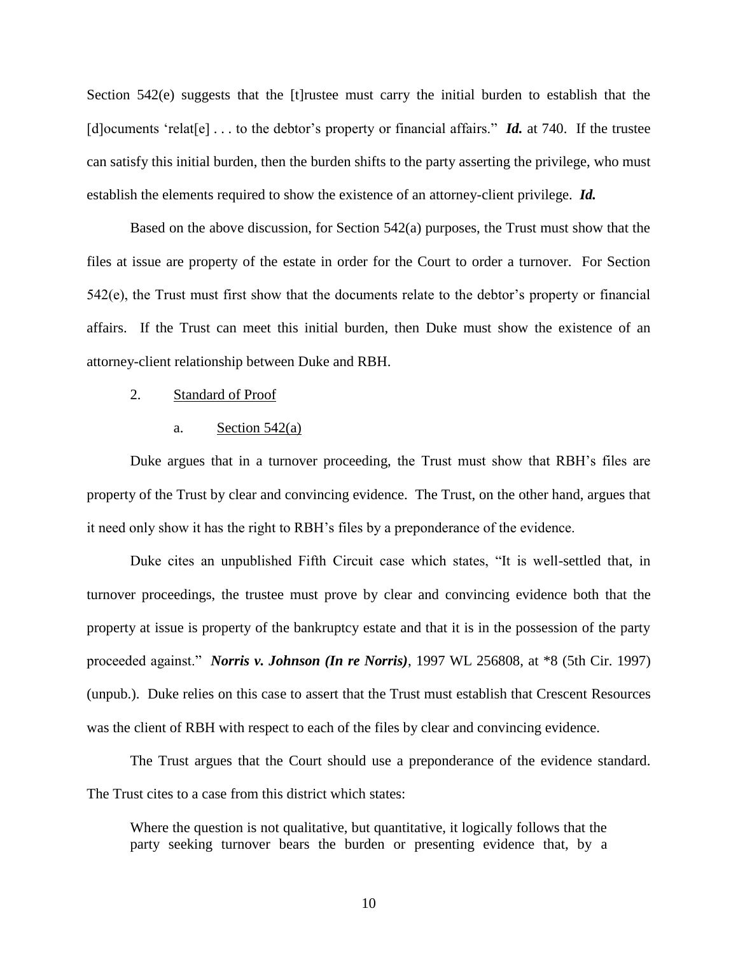Section 542(e) suggests that the [t]rustee must carry the initial burden to establish that the [d]ocuments 'relat[e]  $\ldots$  to the debtor's property or financial affairs." *Id.* at 740. If the trustee can satisfy this initial burden, then the burden shifts to the party asserting the privilege, who must establish the elements required to show the existence of an attorney-client privilege. *Id.*

Based on the above discussion, for Section 542(a) purposes, the Trust must show that the files at issue are property of the estate in order for the Court to order a turnover. For Section 542(e), the Trust must first show that the documents relate to the debtor's property or financial affairs. If the Trust can meet this initial burden, then Duke must show the existence of an attorney-client relationship between Duke and RBH.

#### 2. Standard of Proof

#### a. Section  $542(a)$

Duke argues that in a turnover proceeding, the Trust must show that RBH's files are property of the Trust by clear and convincing evidence. The Trust, on the other hand, argues that it need only show it has the right to RBH's files by a preponderance of the evidence.

Duke cites an unpublished Fifth Circuit case which states, "It is well-settled that, in turnover proceedings, the trustee must prove by clear and convincing evidence both that the property at issue is property of the bankruptcy estate and that it is in the possession of the party proceeded against.‖ *Norris v. Johnson (In re Norris)*, 1997 WL 256808, at \*8 (5th Cir. 1997) (unpub.). Duke relies on this case to assert that the Trust must establish that Crescent Resources was the client of RBH with respect to each of the files by clear and convincing evidence.

The Trust argues that the Court should use a preponderance of the evidence standard. The Trust cites to a case from this district which states:

Where the question is not qualitative, but quantitative, it logically follows that the party seeking turnover bears the burden or presenting evidence that, by a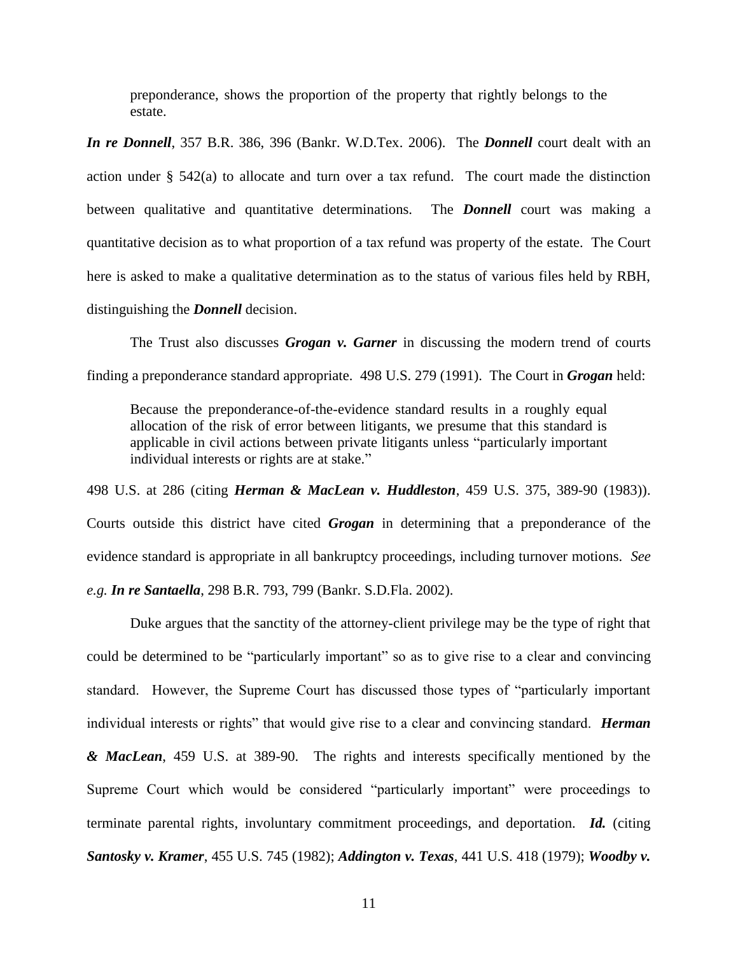preponderance, shows the proportion of the property that rightly belongs to the estate.

*In re Donnell*, 357 B.R. 386, 396 (Bankr. W.D.Tex. 2006). The *Donnell* court dealt with an action under § 542(a) to allocate and turn over a tax refund. The court made the distinction between qualitative and quantitative determinations. The *Donnell* court was making a quantitative decision as to what proportion of a tax refund was property of the estate. The Court here is asked to make a qualitative determination as to the status of various files held by RBH, distinguishing the *Donnell* decision.

The Trust also discusses *Grogan v. Garner* in discussing the modern trend of courts finding a preponderance standard appropriate. 498 U.S. 279 (1991). The Court in *Grogan* held:

Because the preponderance-of-the-evidence standard results in a roughly equal allocation of the risk of error between litigants, we presume that this standard is applicable in civil actions between private litigants unless "particularly important individual interests or rights are at stake."

498 U.S. at 286 (citing *Herman & MacLean v. Huddleston*, 459 U.S. 375, 389-90 (1983)). Courts outside this district have cited *Grogan* in determining that a preponderance of the evidence standard is appropriate in all bankruptcy proceedings, including turnover motions. *See e.g. In re Santaella*, 298 B.R. 793, 799 (Bankr. S.D.Fla. 2002).

Duke argues that the sanctity of the attorney-client privilege may be the type of right that could be determined to be "particularly important" so as to give rise to a clear and convincing standard. However, the Supreme Court has discussed those types of "particularly important individual interests or rights" that would give rise to a clear and convincing standard. *Herman & MacLean*, 459 U.S. at 389-90. The rights and interests specifically mentioned by the Supreme Court which would be considered "particularly important" were proceedings to terminate parental rights, involuntary commitment proceedings, and deportation. *Id.* (citing *Santosky v. Kramer*, 455 U.S. 745 (1982); *Addington v. Texas*, 441 U.S. 418 (1979); *Woodby v.*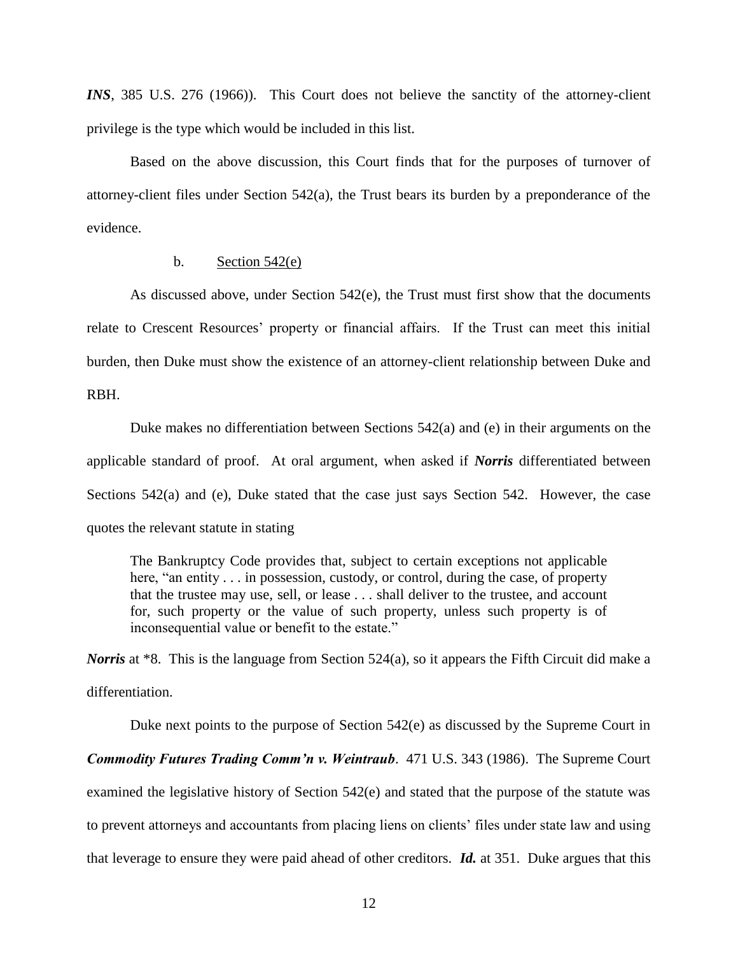*INS*, 385 U.S. 276 (1966)). This Court does not believe the sanctity of the attorney-client privilege is the type which would be included in this list.

Based on the above discussion, this Court finds that for the purposes of turnover of attorney-client files under Section 542(a), the Trust bears its burden by a preponderance of the evidence.

### b. Section  $542(e)$

As discussed above, under Section 542(e), the Trust must first show that the documents relate to Crescent Resources' property or financial affairs. If the Trust can meet this initial burden, then Duke must show the existence of an attorney-client relationship between Duke and RBH.

Duke makes no differentiation between Sections 542(a) and (e) in their arguments on the applicable standard of proof. At oral argument, when asked if *Norris* differentiated between Sections 542(a) and (e), Duke stated that the case just says Section 542. However, the case quotes the relevant statute in stating

The Bankruptcy Code provides that, subject to certain exceptions not applicable here, "an entity  $\ldots$  in possession, custody, or control, during the case, of property that the trustee may use, sell, or lease . . . shall deliver to the trustee, and account for, such property or the value of such property, unless such property is of inconsequential value or benefit to the estate."

*Norris* at \*8. This is the language from Section 524(a), so it appears the Fifth Circuit did make a differentiation.

Duke next points to the purpose of Section 542(e) as discussed by the Supreme Court in *Commodity Futures Trading Comm'n v. Weintraub*. 471 U.S. 343 (1986). The Supreme Court examined the legislative history of Section 542(e) and stated that the purpose of the statute was to prevent attorneys and accountants from placing liens on clients' files under state law and using that leverage to ensure they were paid ahead of other creditors. *Id.* at 351. Duke argues that this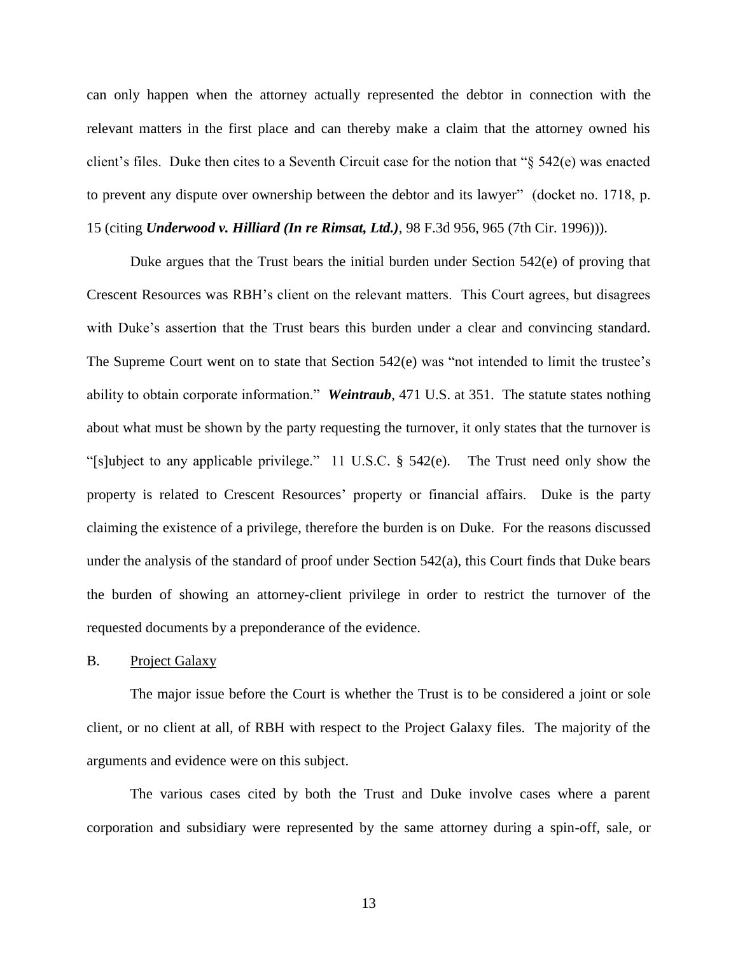can only happen when the attorney actually represented the debtor in connection with the relevant matters in the first place and can thereby make a claim that the attorney owned his client's files. Duke then cites to a Seventh Circuit case for the notion that " $\S$  542(e) was enacted to prevent any dispute over ownership between the debtor and its lawyer" (docket no. 1718, p. 15 (citing *Underwood v. Hilliard (In re Rimsat, Ltd.)*, 98 F.3d 956, 965 (7th Cir. 1996))).

Duke argues that the Trust bears the initial burden under Section 542(e) of proving that Crescent Resources was RBH's client on the relevant matters. This Court agrees, but disagrees with Duke's assertion that the Trust bears this burden under a clear and convincing standard. The Supreme Court went on to state that Section  $542(e)$  was "not intended to limit the trustee's ability to obtain corporate information." Weintraub, 471 U.S. at 351. The statute states nothing about what must be shown by the party requesting the turnover, it only states that the turnover is "[s]ubject to any applicable privilege." 11 U.S.C.  $\S$  542(e). The Trust need only show the property is related to Crescent Resources' property or financial affairs. Duke is the party claiming the existence of a privilege, therefore the burden is on Duke. For the reasons discussed under the analysis of the standard of proof under Section  $542(a)$ , this Court finds that Duke bears the burden of showing an attorney-client privilege in order to restrict the turnover of the requested documents by a preponderance of the evidence.

B. Project Galaxy

The major issue before the Court is whether the Trust is to be considered a joint or sole client, or no client at all, of RBH with respect to the Project Galaxy files. The majority of the arguments and evidence were on this subject.

The various cases cited by both the Trust and Duke involve cases where a parent corporation and subsidiary were represented by the same attorney during a spin-off, sale, or

13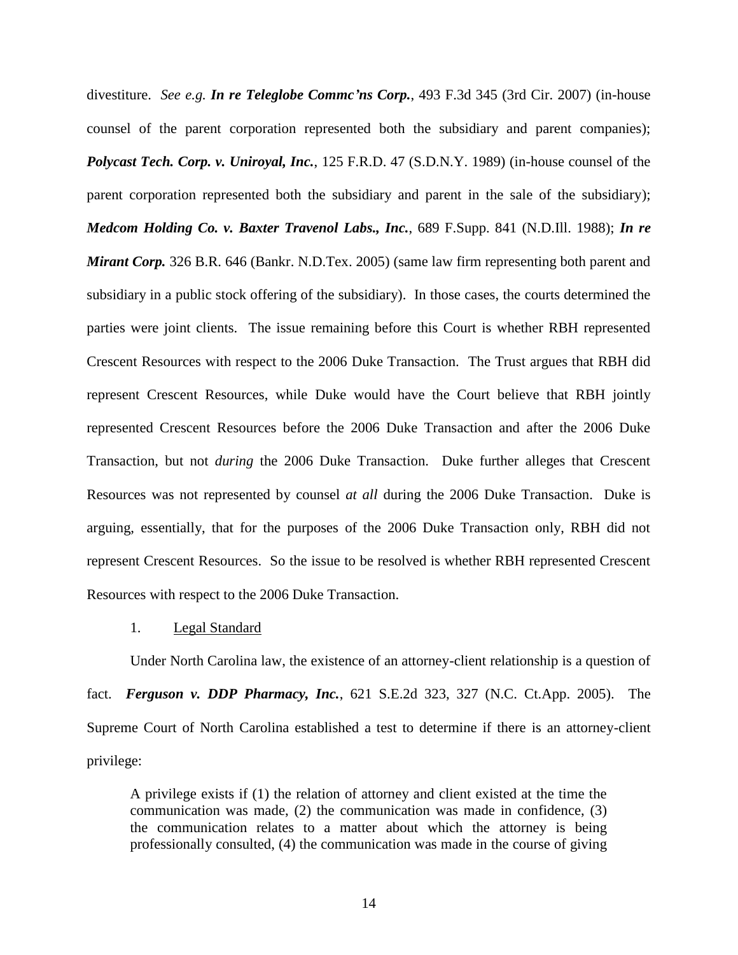divestiture. *See e.g. In re Teleglobe Commc'ns Corp.*, 493 F.3d 345 (3rd Cir. 2007) (in-house counsel of the parent corporation represented both the subsidiary and parent companies); *Polycast Tech. Corp. v. Uniroyal, Inc.*, 125 F.R.D. 47 (S.D.N.Y. 1989) (in-house counsel of the parent corporation represented both the subsidiary and parent in the sale of the subsidiary); *Medcom Holding Co. v. Baxter Travenol Labs., Inc.*, 689 F.Supp. 841 (N.D.Ill. 1988); *In re Mirant Corp.* 326 B.R. 646 (Bankr. N.D.Tex. 2005) (same law firm representing both parent and subsidiary in a public stock offering of the subsidiary). In those cases, the courts determined the parties were joint clients. The issue remaining before this Court is whether RBH represented Crescent Resources with respect to the 2006 Duke Transaction. The Trust argues that RBH did represent Crescent Resources, while Duke would have the Court believe that RBH jointly represented Crescent Resources before the 2006 Duke Transaction and after the 2006 Duke Transaction, but not *during* the 2006 Duke Transaction. Duke further alleges that Crescent Resources was not represented by counsel *at all* during the 2006 Duke Transaction. Duke is arguing, essentially, that for the purposes of the 2006 Duke Transaction only, RBH did not represent Crescent Resources. So the issue to be resolved is whether RBH represented Crescent Resources with respect to the 2006 Duke Transaction.

#### 1. Legal Standard

Under North Carolina law, the existence of an attorney-client relationship is a question of fact. *Ferguson v. DDP Pharmacy, Inc.*, 621 S.E.2d 323, 327 (N.C. Ct.App. 2005). The Supreme Court of North Carolina established a test to determine if there is an attorney-client privilege:

A privilege exists if (1) the relation of attorney and client existed at the time the communication was made, (2) the communication was made in confidence, (3) the communication relates to a matter about which the attorney is being professionally consulted, (4) the communication was made in the course of giving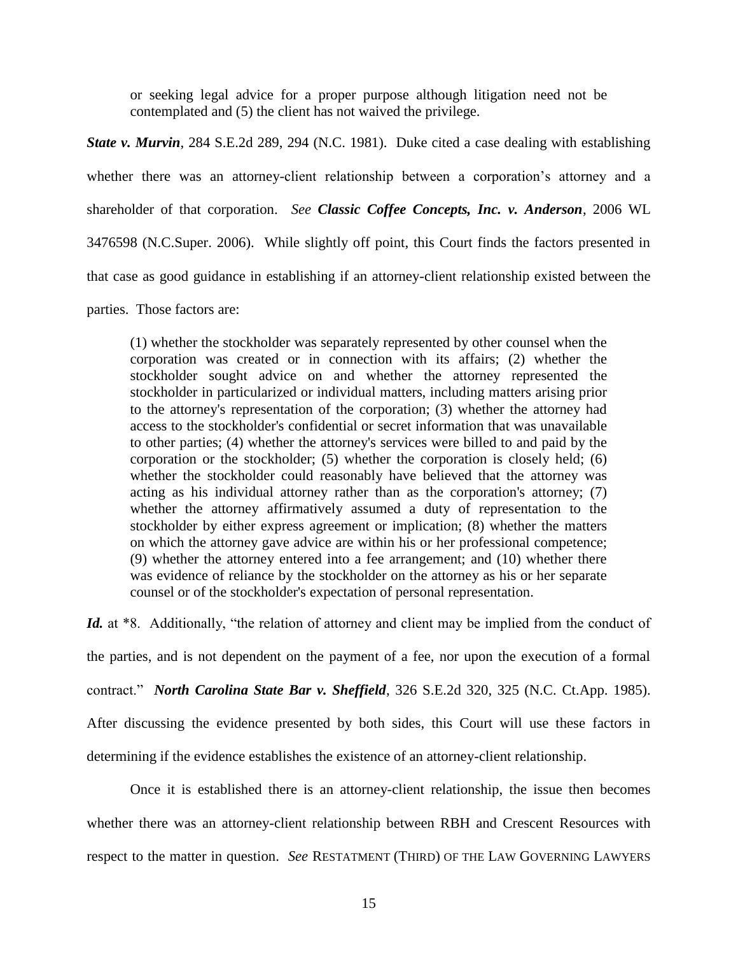or seeking legal advice for a proper purpose although litigation need not be contemplated and (5) the client has not waived the privilege.

*State v. Murvin*, 284 S.E.2d 289, 294 (N.C. 1981). Duke cited a case dealing with establishing whether there was an attorney-client relationship between a corporation's attorney and a shareholder of that corporation. *See Classic Coffee Concepts, Inc. v. Anderson*, 2006 WL 3476598 (N.C.Super. 2006). While slightly off point, this Court finds the factors presented in that case as good guidance in establishing if an attorney-client relationship existed between the parties. Those factors are:

(1) whether the stockholder was separately represented by other counsel when the corporation was created or in connection with its affairs; (2) whether the stockholder sought advice on and whether the attorney represented the stockholder in particularized or individual matters, including matters arising prior to the attorney's representation of the corporation; (3) whether the attorney had access to the stockholder's confidential or secret information that was unavailable to other parties; (4) whether the attorney's services were billed to and paid by the corporation or the stockholder; (5) whether the corporation is closely held; (6) whether the stockholder could reasonably have believed that the attorney was acting as his individual attorney rather than as the corporation's attorney; (7) whether the attorney affirmatively assumed a duty of representation to the stockholder by either express agreement or implication; (8) whether the matters on which the attorney gave advice are within his or her professional competence; (9) whether the attorney entered into a fee arrangement; and (10) whether there was evidence of reliance by the stockholder on the attorney as his or her separate counsel or of the stockholder's expectation of personal representation.

*Id.* at \*8. Additionally, "the relation of attorney and client may be implied from the conduct of the parties, and is not dependent on the payment of a fee, nor upon the execution of a formal contract." *North Carolina State Bar v. Sheffield*, 326 S.E.2d 320, 325 (N.C. Ct.App. 1985). After discussing the evidence presented by both sides, this Court will use these factors in determining if the evidence establishes the existence of an attorney-client relationship.

Once it is established there is an attorney-client relationship, the issue then becomes whether there was an attorney-client relationship between RBH and Crescent Resources with respect to the matter in question. *See* RESTATMENT (THIRD) OF THE LAW GOVERNING LAWYERS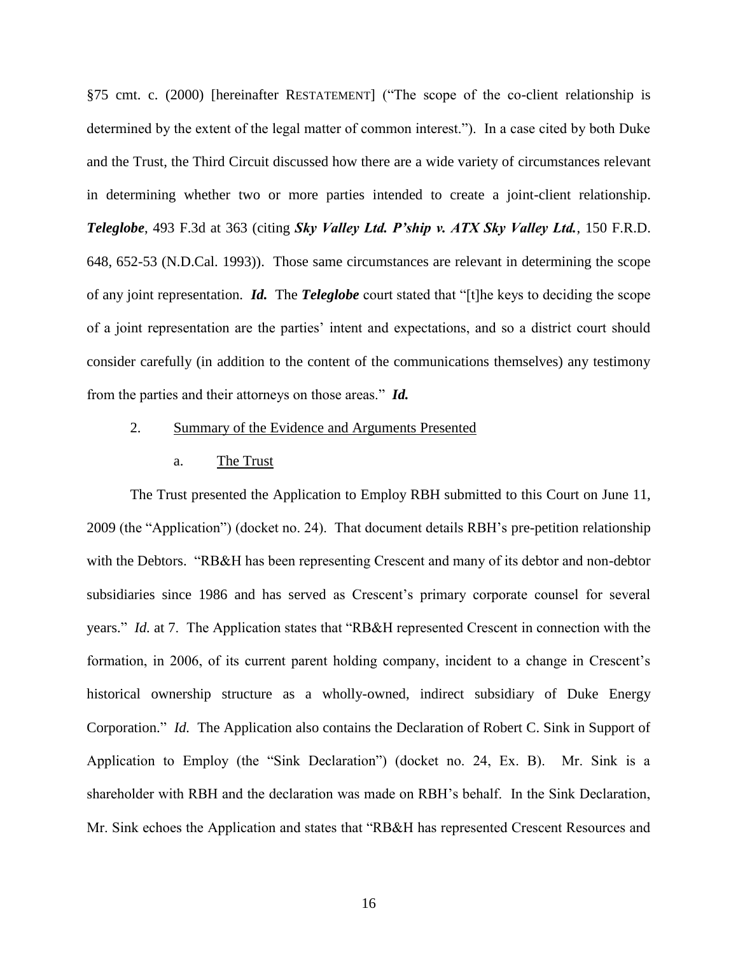§75 cmt. c. (2000) [hereinafter RESTATEMENT] ("The scope of the co-client relationship is determined by the extent of the legal matter of common interest."). In a case cited by both Duke and the Trust, the Third Circuit discussed how there are a wide variety of circumstances relevant in determining whether two or more parties intended to create a joint-client relationship. *Teleglobe*, 493 F.3d at 363 (citing *Sky Valley Ltd. P'ship v. ATX Sky Valley Ltd.*, 150 F.R.D. 648, 652-53 (N.D.Cal. 1993)). Those same circumstances are relevant in determining the scope of any joint representation. *Id.* The *Teleglobe* court stated that "[t]he keys to deciding the scope of a joint representation are the parties' intent and expectations, and so a district court should consider carefully (in addition to the content of the communications themselves) any testimony from the parties and their attorneys on those areas." *Id.* 

## 2. Summary of the Evidence and Arguments Presented

#### a. The Trust

The Trust presented the Application to Employ RBH submitted to this Court on June 11, 2009 (the "Application") (docket no. 24). That document details RBH's pre-petition relationship with the Debtors. "RB&H has been representing Crescent and many of its debtor and non-debtor subsidiaries since 1986 and has served as Crescent's primary corporate counsel for several years." *Id.* at 7. The Application states that "RB&H represented Crescent in connection with the formation, in 2006, of its current parent holding company, incident to a change in Crescent's historical ownership structure as a wholly-owned, indirect subsidiary of Duke Energy Corporation." *Id.* The Application also contains the Declaration of Robert C. Sink in Support of Application to Employ (the "Sink Declaration") (docket no. 24, Ex. B). Mr. Sink is a shareholder with RBH and the declaration was made on RBH's behalf. In the Sink Declaration, Mr. Sink echoes the Application and states that "RB&H has represented Crescent Resources and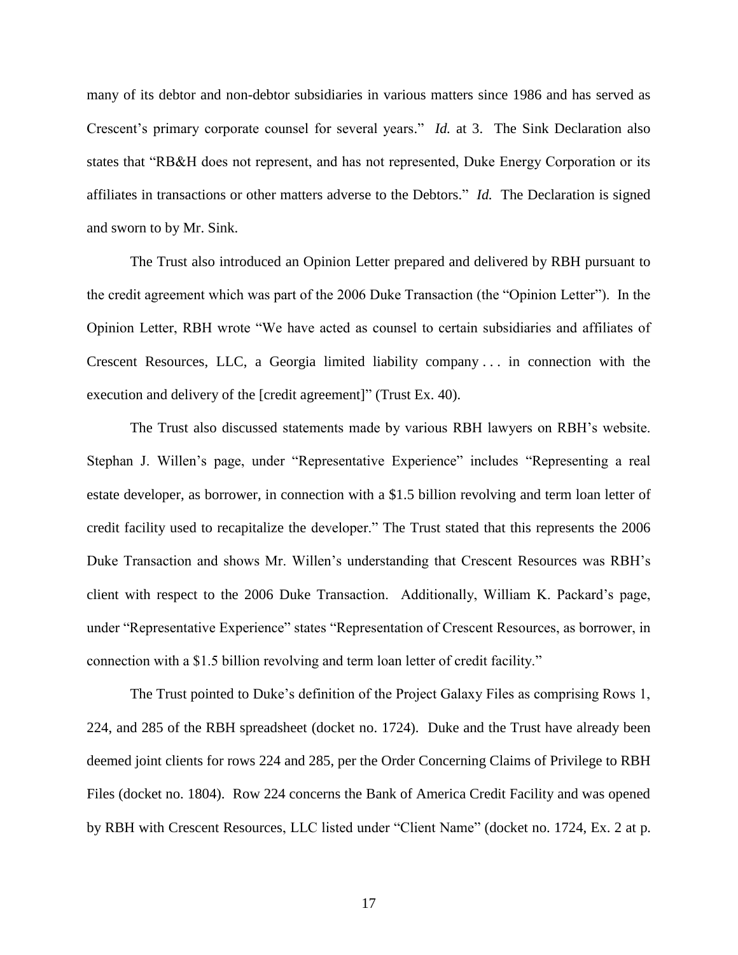many of its debtor and non-debtor subsidiaries in various matters since 1986 and has served as Crescent's primary corporate counsel for several years." *Id.* at 3. The Sink Declaration also states that "RB&H does not represent, and has not represented, Duke Energy Corporation or its affiliates in transactions or other matters adverse to the Debtors." *Id.* The Declaration is signed and sworn to by Mr. Sink.

The Trust also introduced an Opinion Letter prepared and delivered by RBH pursuant to the credit agreement which was part of the 2006 Duke Transaction (the "Opinion Letter"). In the Opinion Letter, RBH wrote "We have acted as counsel to certain subsidiaries and affiliates of Crescent Resources, LLC, a Georgia limited liability company . . . in connection with the execution and delivery of the [credit agreement]" (Trust Ex. 40).

The Trust also discussed statements made by various RBH lawyers on RBH's website. Stephan J. Willen's page, under "Representative Experience" includes "Representing a real estate developer, as borrower, in connection with a \$1.5 billion revolving and term loan letter of credit facility used to recapitalize the developer." The Trust stated that this represents the 2006 Duke Transaction and shows Mr. Willen's understanding that Crescent Resources was RBH's client with respect to the 2006 Duke Transaction. Additionally, William K. Packard's page, under "Representative Experience" states "Representation of Crescent Resources, as borrower, in connection with a \$1.5 billion revolving and term loan letter of credit facility."

The Trust pointed to Duke's definition of the Project Galaxy Files as comprising Rows 1, 224, and 285 of the RBH spreadsheet (docket no. 1724). Duke and the Trust have already been deemed joint clients for rows 224 and 285, per the Order Concerning Claims of Privilege to RBH Files (docket no. 1804). Row 224 concerns the Bank of America Credit Facility and was opened by RBH with Crescent Resources, LLC listed under "Client Name" (docket no. 1724, Ex. 2 at p.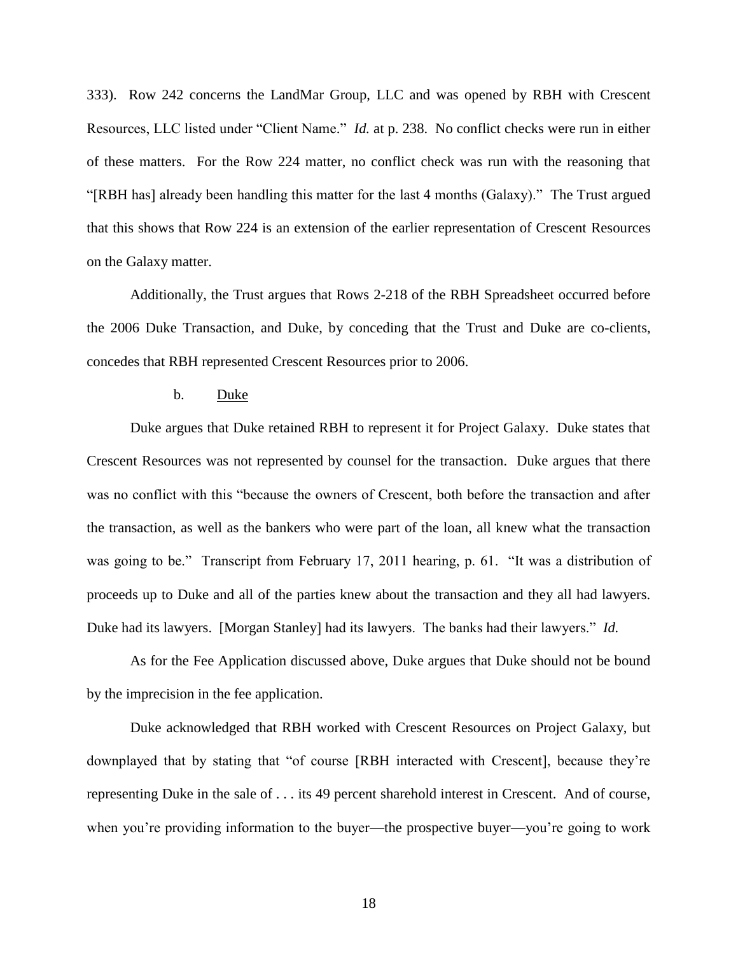333). Row 242 concerns the LandMar Group, LLC and was opened by RBH with Crescent Resources, LLC listed under "Client Name." *Id.* at p. 238. No conflict checks were run in either of these matters. For the Row 224 matter, no conflict check was run with the reasoning that ―[RBH has] already been handling this matter for the last 4 months (Galaxy).‖ The Trust argued that this shows that Row 224 is an extension of the earlier representation of Crescent Resources on the Galaxy matter.

Additionally, the Trust argues that Rows 2-218 of the RBH Spreadsheet occurred before the 2006 Duke Transaction, and Duke, by conceding that the Trust and Duke are co-clients, concedes that RBH represented Crescent Resources prior to 2006.

### b. Duke

Duke argues that Duke retained RBH to represent it for Project Galaxy. Duke states that Crescent Resources was not represented by counsel for the transaction. Duke argues that there was no conflict with this "because the owners of Crescent, both before the transaction and after the transaction, as well as the bankers who were part of the loan, all knew what the transaction was going to be." Transcript from February 17, 2011 hearing, p. 61. "It was a distribution of proceeds up to Duke and all of the parties knew about the transaction and they all had lawyers. Duke had its lawyers. [Morgan Stanley] had its lawyers. The banks had their lawyers." *Id.* 

As for the Fee Application discussed above, Duke argues that Duke should not be bound by the imprecision in the fee application.

Duke acknowledged that RBH worked with Crescent Resources on Project Galaxy, but downplayed that by stating that "of course [RBH interacted with Crescent], because they're representing Duke in the sale of . . . its 49 percent sharehold interest in Crescent. And of course, when you're providing information to the buyer—the prospective buyer—you're going to work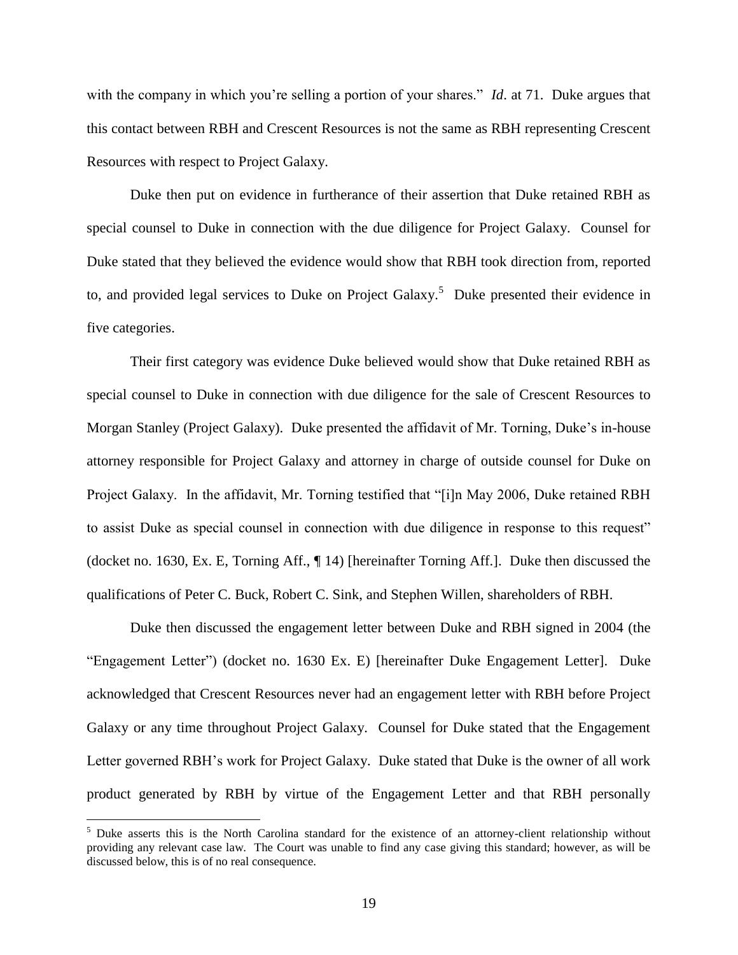with the company in which you're selling a portion of your shares." *Id.* at 71. Duke argues that this contact between RBH and Crescent Resources is not the same as RBH representing Crescent Resources with respect to Project Galaxy.

Duke then put on evidence in furtherance of their assertion that Duke retained RBH as special counsel to Duke in connection with the due diligence for Project Galaxy. Counsel for Duke stated that they believed the evidence would show that RBH took direction from, reported to, and provided legal services to Duke on Project Galaxy.<sup>5</sup> Duke presented their evidence in five categories.

Their first category was evidence Duke believed would show that Duke retained RBH as special counsel to Duke in connection with due diligence for the sale of Crescent Resources to Morgan Stanley (Project Galaxy). Duke presented the affidavit of Mr. Torning, Duke's in-house attorney responsible for Project Galaxy and attorney in charge of outside counsel for Duke on Project Galaxy. In the affidavit, Mr. Torning testified that "[i]n May 2006, Duke retained RBH to assist Duke as special counsel in connection with due diligence in response to this request" (docket no. 1630, Ex. E, Torning Aff., ¶ 14) [hereinafter Torning Aff.]. Duke then discussed the qualifications of Peter C. Buck, Robert C. Sink, and Stephen Willen, shareholders of RBH.

Duke then discussed the engagement letter between Duke and RBH signed in 2004 (the "Engagement Letter") (docket no. 1630 Ex. E) [hereinafter Duke Engagement Letter]. Duke acknowledged that Crescent Resources never had an engagement letter with RBH before Project Galaxy or any time throughout Project Galaxy. Counsel for Duke stated that the Engagement Letter governed RBH's work for Project Galaxy. Duke stated that Duke is the owner of all work product generated by RBH by virtue of the Engagement Letter and that RBH personally

 $\overline{a}$ 

<sup>&</sup>lt;sup>5</sup> Duke asserts this is the North Carolina standard for the existence of an attorney-client relationship without providing any relevant case law. The Court was unable to find any case giving this standard; however, as will be discussed below, this is of no real consequence.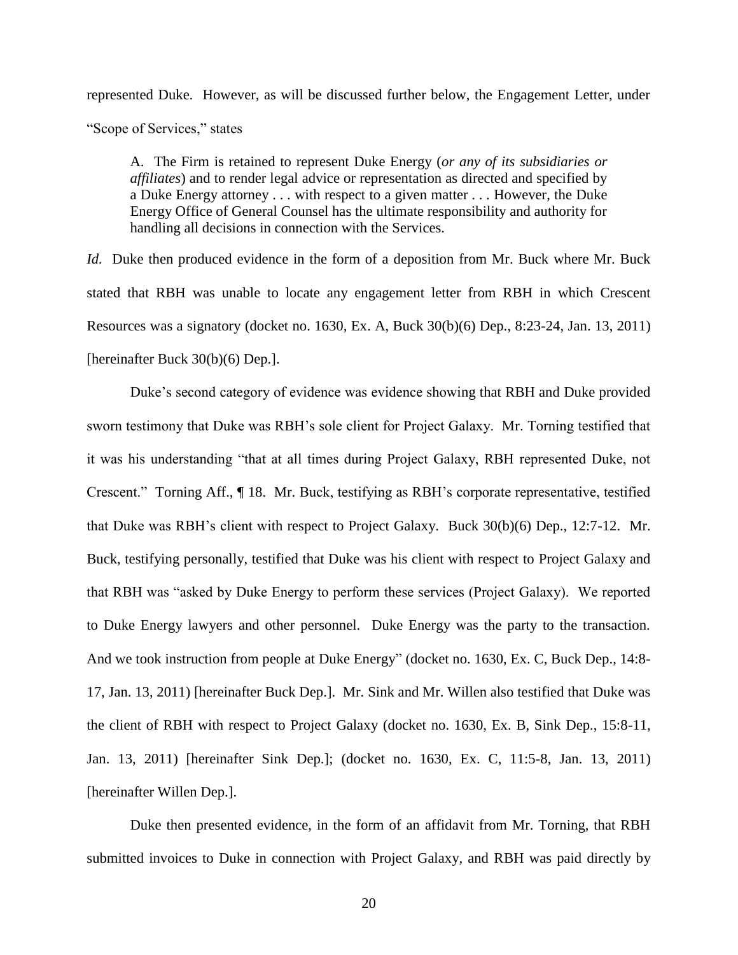represented Duke. However, as will be discussed further below, the Engagement Letter, under "Scope of Services," states

A. The Firm is retained to represent Duke Energy (*or any of its subsidiaries or affiliates*) and to render legal advice or representation as directed and specified by a Duke Energy attorney . . . with respect to a given matter . . . However, the Duke Energy Office of General Counsel has the ultimate responsibility and authority for handling all decisions in connection with the Services.

*Id.* Duke then produced evidence in the form of a deposition from Mr. Buck where Mr. Buck stated that RBH was unable to locate any engagement letter from RBH in which Crescent Resources was a signatory (docket no. 1630, Ex. A, Buck 30(b)(6) Dep., 8:23-24, Jan. 13, 2011) [hereinafter Buck 30(b)(6) Dep.].

Duke's second category of evidence was evidence showing that RBH and Duke provided sworn testimony that Duke was RBH's sole client for Project Galaxy. Mr. Torning testified that it was his understanding "that at all times during Project Galaxy, RBH represented Duke, not Crescent.‖ Torning Aff., ¶ 18. Mr. Buck, testifying as RBH's corporate representative, testified that Duke was RBH's client with respect to Project Galaxy. Buck 30(b)(6) Dep., 12:7-12. Mr. Buck, testifying personally, testified that Duke was his client with respect to Project Galaxy and that RBH was "asked by Duke Energy to perform these services (Project Galaxy). We reported to Duke Energy lawyers and other personnel. Duke Energy was the party to the transaction. And we took instruction from people at Duke Energy" (docket no. 1630, Ex. C, Buck Dep., 14:8-17, Jan. 13, 2011) [hereinafter Buck Dep.]. Mr. Sink and Mr. Willen also testified that Duke was the client of RBH with respect to Project Galaxy (docket no. 1630, Ex. B, Sink Dep., 15:8-11, Jan. 13, 2011) [hereinafter Sink Dep.]; (docket no. 1630, Ex. C, 11:5-8, Jan. 13, 2011) [hereinafter Willen Dep.].

Duke then presented evidence, in the form of an affidavit from Mr. Torning, that RBH submitted invoices to Duke in connection with Project Galaxy, and RBH was paid directly by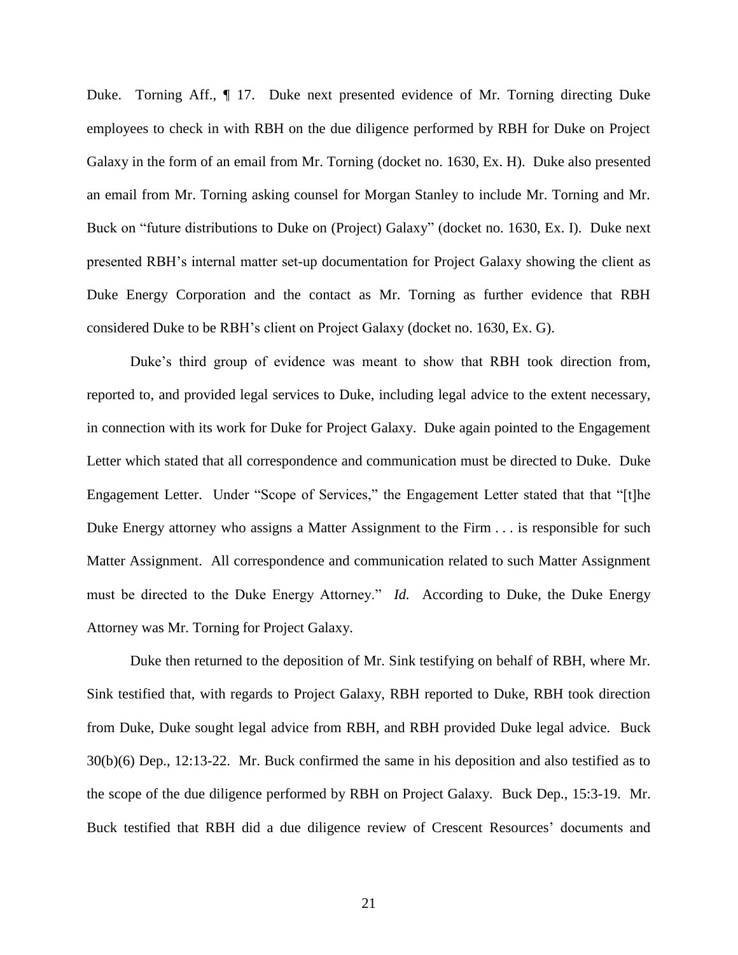Duke. Torning Aff., ¶ 17. Duke next presented evidence of Mr. Torning directing Duke employees to check in with RBH on the due diligence performed by RBH for Duke on Project Galaxy in the form of an email from Mr. Torning (docket no. 1630, Ex. H). Duke also presented an email from Mr. Torning asking counsel for Morgan Stanley to include Mr. Torning and Mr. Buck on "future distributions to Duke on (Project) Galaxy" (docket no. 1630, Ex. I). Duke next presented RBH's internal matter set-up documentation for Project Galaxy showing the client as Duke Energy Corporation and the contact as Mr. Torning as further evidence that RBH considered Duke to be RBH's client on Project Galaxy (docket no. 1630, Ex. G).

Duke's third group of evidence was meant to show that RBH took direction from, reported to, and provided legal services to Duke, including legal advice to the extent necessary, in connection with its work for Duke for Project Galaxy. Duke again pointed to the Engagement Letter which stated that all correspondence and communication must be directed to Duke. Duke Engagement Letter. Under "Scope of Services," the Engagement Letter stated that that "[t]he Duke Energy attorney who assigns a Matter Assignment to the Firm . . . is responsible for such Matter Assignment. All correspondence and communication related to such Matter Assignment must be directed to the Duke Energy Attorney." *Id.* According to Duke, the Duke Energy Attorney was Mr. Torning for Project Galaxy.

Duke then returned to the deposition of Mr. Sink testifying on behalf of RBH, where Mr. Sink testified that, with regards to Project Galaxy, RBH reported to Duke, RBH took direction from Duke, Duke sought legal advice from RBH, and RBH provided Duke legal advice. Buck 30(b)(6) Dep., 12:13-22. Mr. Buck confirmed the same in his deposition and also testified as to the scope of the due diligence performed by RBH on Project Galaxy. Buck Dep., 15:3-19. Mr. Buck testified that RBH did a due diligence review of Crescent Resources' documents and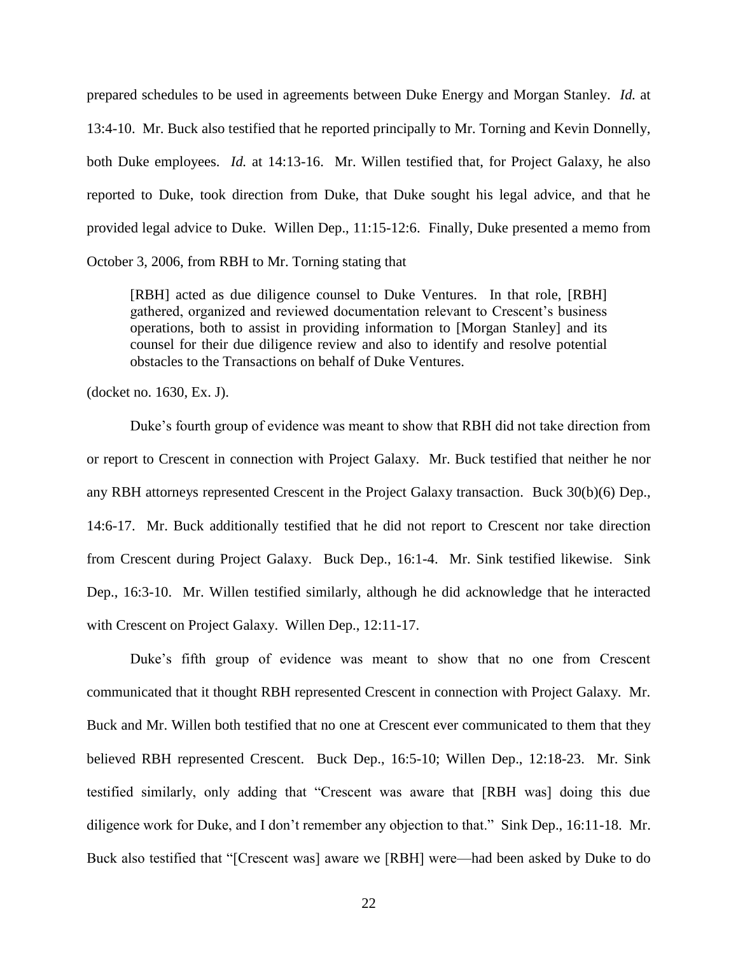prepared schedules to be used in agreements between Duke Energy and Morgan Stanley. *Id.* at 13:4-10. Mr. Buck also testified that he reported principally to Mr. Torning and Kevin Donnelly, both Duke employees. *Id.* at 14:13-16. Mr. Willen testified that, for Project Galaxy, he also reported to Duke, took direction from Duke, that Duke sought his legal advice, and that he provided legal advice to Duke. Willen Dep., 11:15-12:6. Finally, Duke presented a memo from October 3, 2006, from RBH to Mr. Torning stating that

[RBH] acted as due diligence counsel to Duke Ventures. In that role, [RBH] gathered, organized and reviewed documentation relevant to Crescent's business operations, both to assist in providing information to [Morgan Stanley] and its counsel for their due diligence review and also to identify and resolve potential obstacles to the Transactions on behalf of Duke Ventures.

(docket no. 1630, Ex. J).

Duke's fourth group of evidence was meant to show that RBH did not take direction from or report to Crescent in connection with Project Galaxy. Mr. Buck testified that neither he nor any RBH attorneys represented Crescent in the Project Galaxy transaction. Buck 30(b)(6) Dep., 14:6-17. Mr. Buck additionally testified that he did not report to Crescent nor take direction from Crescent during Project Galaxy. Buck Dep., 16:1-4. Mr. Sink testified likewise. Sink Dep., 16:3-10. Mr. Willen testified similarly, although he did acknowledge that he interacted with Crescent on Project Galaxy. Willen Dep., 12:11-17.

Duke's fifth group of evidence was meant to show that no one from Crescent communicated that it thought RBH represented Crescent in connection with Project Galaxy. Mr. Buck and Mr. Willen both testified that no one at Crescent ever communicated to them that they believed RBH represented Crescent. Buck Dep., 16:5-10; Willen Dep., 12:18-23. Mr. Sink testified similarly, only adding that "Crescent was aware that [RBH was] doing this due diligence work for Duke, and I don't remember any objection to that." Sink Dep., 16:11-18. Mr. Buck also testified that "[Crescent was] aware we [RBH] were—had been asked by Duke to do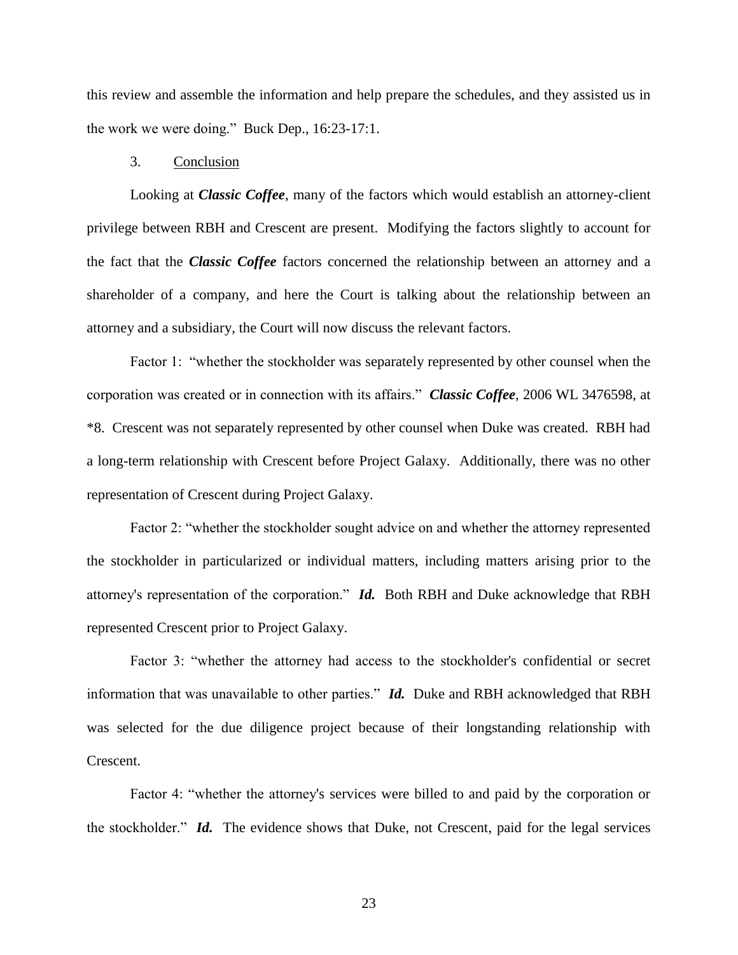this review and assemble the information and help prepare the schedules, and they assisted us in the work we were doing." Buck Dep.,  $16:23-17:1$ .

### 3. Conclusion

Looking at *Classic Coffee*, many of the factors which would establish an attorney-client privilege between RBH and Crescent are present. Modifying the factors slightly to account for the fact that the *Classic Coffee* factors concerned the relationship between an attorney and a shareholder of a company, and here the Court is talking about the relationship between an attorney and a subsidiary, the Court will now discuss the relevant factors.

Factor 1: "whether the stockholder was separately represented by other counsel when the corporation was created or in connection with its affairs." *Classic Coffee*, 2006 WL 3476598, at \*8. Crescent was not separately represented by other counsel when Duke was created. RBH had a long-term relationship with Crescent before Project Galaxy. Additionally, there was no other representation of Crescent during Project Galaxy.

Factor 2: "whether the stockholder sought advice on and whether the attorney represented the stockholder in particularized or individual matters, including matters arising prior to the attorney's representation of the corporation." *Id.* Both RBH and Duke acknowledge that RBH represented Crescent prior to Project Galaxy.

Factor 3: "whether the attorney had access to the stockholder's confidential or secret information that was unavailable to other parties." *Id.* Duke and RBH acknowledged that RBH was selected for the due diligence project because of their longstanding relationship with Crescent.

Factor 4: "whether the attorney's services were billed to and paid by the corporation or the stockholder." *Id.* The evidence shows that Duke, not Crescent, paid for the legal services

23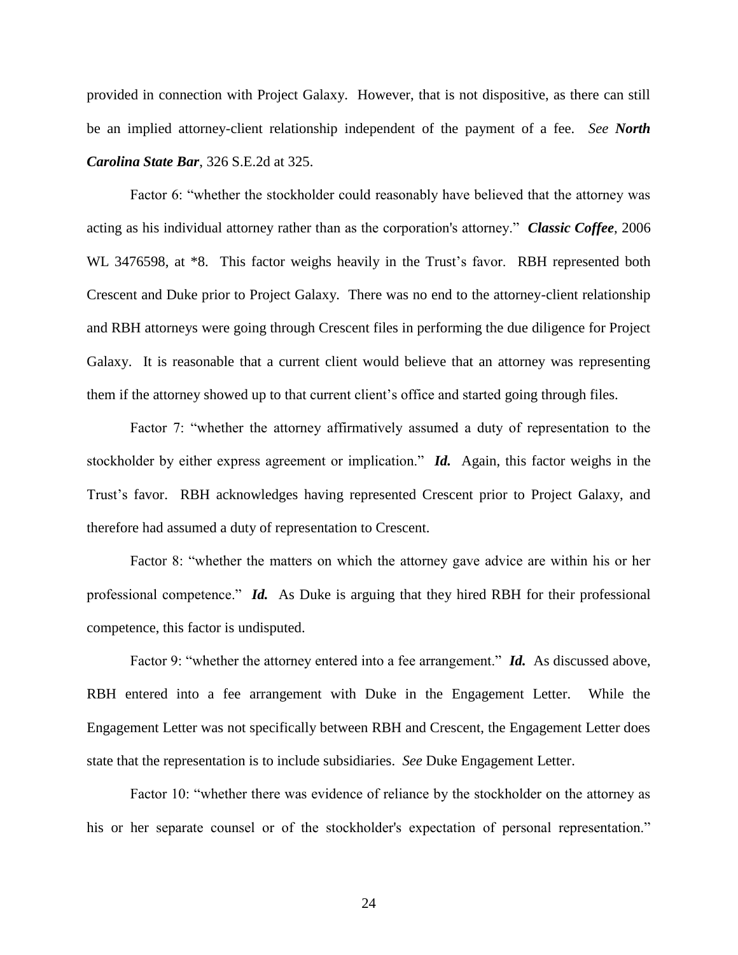provided in connection with Project Galaxy. However, that is not dispositive, as there can still be an implied attorney-client relationship independent of the payment of a fee. *See North Carolina State Bar*, 326 S.E.2d at 325.

Factor 6: "whether the stockholder could reasonably have believed that the attorney was acting as his individual attorney rather than as the corporation's attorney.‖ *Classic Coffee*, 2006 WL 3476598, at  $*8$ . This factor weighs heavily in the Trust's favor. RBH represented both Crescent and Duke prior to Project Galaxy. There was no end to the attorney-client relationship and RBH attorneys were going through Crescent files in performing the due diligence for Project Galaxy. It is reasonable that a current client would believe that an attorney was representing them if the attorney showed up to that current client's office and started going through files.

Factor 7: "whether the attorney affirmatively assumed a duty of representation to the stockholder by either express agreement or implication." **Id.** Again, this factor weighs in the Trust's favor. RBH acknowledges having represented Crescent prior to Project Galaxy, and therefore had assumed a duty of representation to Crescent.

Factor 8: "whether the matters on which the attorney gave advice are within his or her professional competence." *Id.* As Duke is arguing that they hired RBH for their professional competence, this factor is undisputed.

Factor 9: "whether the attorney entered into a fee arrangement." *Id.* As discussed above, RBH entered into a fee arrangement with Duke in the Engagement Letter. While the Engagement Letter was not specifically between RBH and Crescent, the Engagement Letter does state that the representation is to include subsidiaries. *See* Duke Engagement Letter.

Factor 10: "whether there was evidence of reliance by the stockholder on the attorney as his or her separate counsel or of the stockholder's expectation of personal representation."

24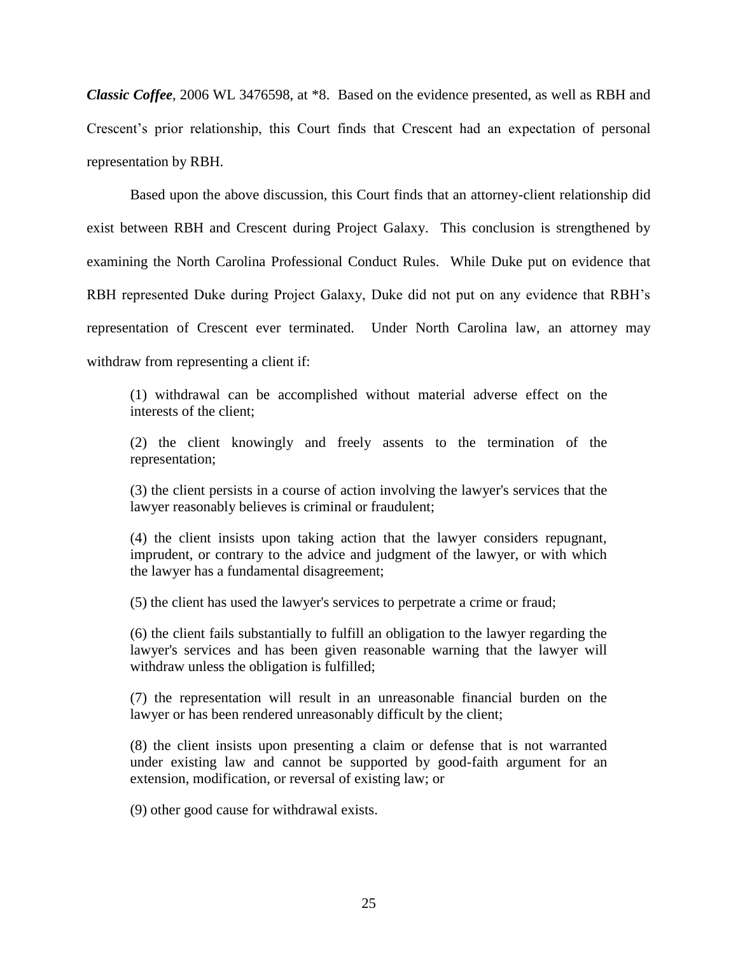*Classic Coffee*, 2006 WL 3476598, at \*8. Based on the evidence presented, as well as RBH and Crescent's prior relationship, this Court finds that Crescent had an expectation of personal representation by RBH.

Based upon the above discussion, this Court finds that an attorney-client relationship did exist between RBH and Crescent during Project Galaxy. This conclusion is strengthened by examining the North Carolina Professional Conduct Rules. While Duke put on evidence that RBH represented Duke during Project Galaxy, Duke did not put on any evidence that RBH's representation of Crescent ever terminated. Under North Carolina law, an attorney may withdraw from representing a client if:

(1) withdrawal can be accomplished without material adverse effect on the interests of the client;

(2) the client knowingly and freely assents to the termination of the representation;

(3) the client persists in a course of action involving the lawyer's services that the lawyer reasonably believes is criminal or fraudulent;

(4) the client insists upon taking action that the lawyer considers repugnant, imprudent, or contrary to the advice and judgment of the lawyer, or with which the lawyer has a fundamental disagreement;

(5) the client has used the lawyer's services to perpetrate a crime or fraud;

(6) the client fails substantially to fulfill an obligation to the lawyer regarding the lawyer's services and has been given reasonable warning that the lawyer will withdraw unless the obligation is fulfilled;

(7) the representation will result in an unreasonable financial burden on the lawyer or has been rendered unreasonably difficult by the client;

(8) the client insists upon presenting a claim or defense that is not warranted under existing law and cannot be supported by good-faith argument for an extension, modification, or reversal of existing law; or

(9) other good cause for withdrawal exists.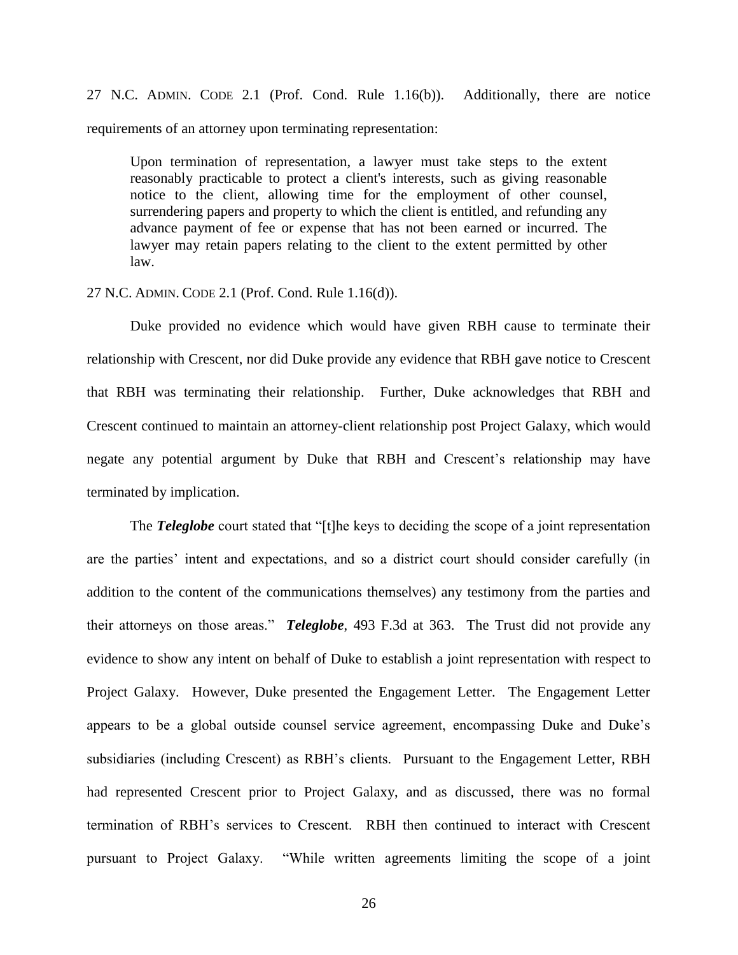27 N.C. ADMIN. CODE 2.1 (Prof. Cond. Rule 1.16(b)). Additionally, there are notice requirements of an attorney upon terminating representation:

Upon termination of representation, a lawyer must take steps to the extent reasonably practicable to protect a client's interests, such as giving reasonable notice to the client, allowing time for the employment of other counsel, surrendering papers and property to which the client is entitled, and refunding any advance payment of fee or expense that has not been earned or incurred. The lawyer may retain papers relating to the client to the extent permitted by other law.

#### 27 N.C. ADMIN. CODE 2.1 (Prof. Cond. Rule 1.16(d)).

Duke provided no evidence which would have given RBH cause to terminate their relationship with Crescent, nor did Duke provide any evidence that RBH gave notice to Crescent that RBH was terminating their relationship. Further, Duke acknowledges that RBH and Crescent continued to maintain an attorney-client relationship post Project Galaxy, which would negate any potential argument by Duke that RBH and Crescent's relationship may have terminated by implication.

The **Teleglobe** court stated that "[t]he keys to deciding the scope of a joint representation are the parties' intent and expectations, and so a district court should consider carefully (in addition to the content of the communications themselves) any testimony from the parties and their attorneys on those areas." *Teleglobe*, 493 F.3d at 363. The Trust did not provide any evidence to show any intent on behalf of Duke to establish a joint representation with respect to Project Galaxy. However, Duke presented the Engagement Letter. The Engagement Letter appears to be a global outside counsel service agreement, encompassing Duke and Duke's subsidiaries (including Crescent) as RBH's clients. Pursuant to the Engagement Letter, RBH had represented Crescent prior to Project Galaxy, and as discussed, there was no formal termination of RBH's services to Crescent. RBH then continued to interact with Crescent pursuant to Project Galaxy. 
"While written agreements limiting the scope of a joint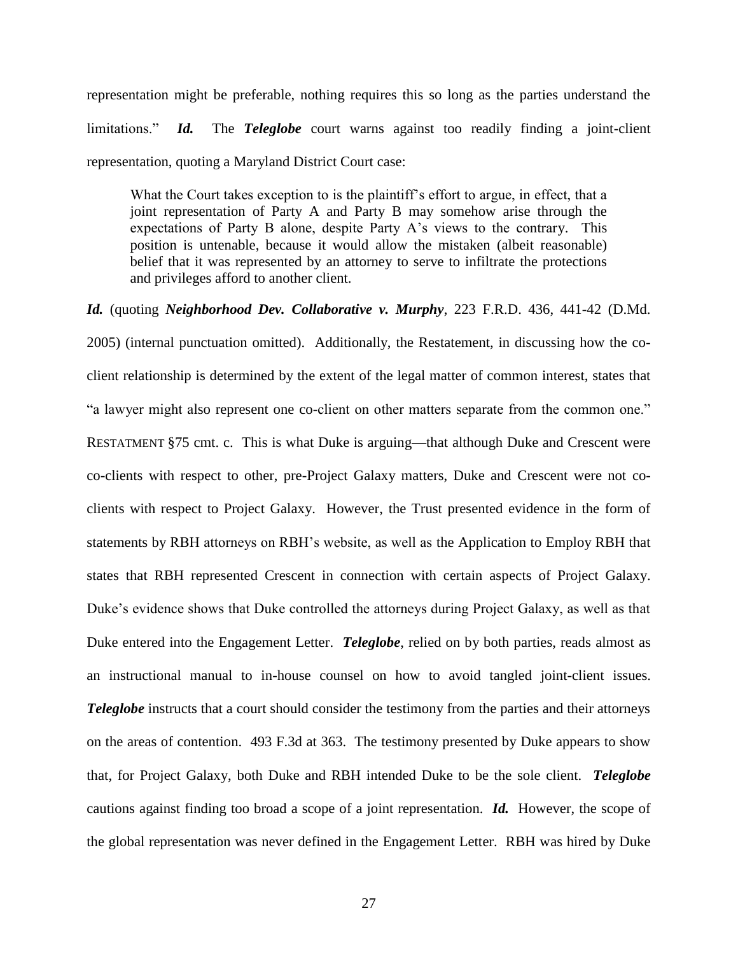representation might be preferable, nothing requires this so long as the parties understand the limitations." **Id.** The **Teleglobe** court warns against too readily finding a joint-client representation, quoting a Maryland District Court case:

What the Court takes exception to is the plaintiff's effort to argue, in effect, that a joint representation of Party A and Party B may somehow arise through the expectations of Party B alone, despite Party A's views to the contrary. This position is untenable, because it would allow the mistaken (albeit reasonable) belief that it was represented by an attorney to serve to infiltrate the protections and privileges afford to another client.

*Id.* (quoting *Neighborhood Dev. Collaborative v. Murphy*, 223 F.R.D. 436, 441-42 (D.Md.

2005) (internal punctuation omitted). Additionally, the Restatement, in discussing how the coclient relationship is determined by the extent of the legal matter of common interest, states that "a lawyer might also represent one co-client on other matters separate from the common one." RESTATMENT §75 cmt. c. This is what Duke is arguing—that although Duke and Crescent were co-clients with respect to other, pre-Project Galaxy matters, Duke and Crescent were not coclients with respect to Project Galaxy. However, the Trust presented evidence in the form of statements by RBH attorneys on RBH's website, as well as the Application to Employ RBH that states that RBH represented Crescent in connection with certain aspects of Project Galaxy. Duke's evidence shows that Duke controlled the attorneys during Project Galaxy, as well as that Duke entered into the Engagement Letter. *Teleglobe*, relied on by both parties, reads almost as an instructional manual to in-house counsel on how to avoid tangled joint-client issues. *Teleglobe* instructs that a court should consider the testimony from the parties and their attorneys on the areas of contention. 493 F.3d at 363. The testimony presented by Duke appears to show that, for Project Galaxy, both Duke and RBH intended Duke to be the sole client. *Teleglobe* cautions against finding too broad a scope of a joint representation. *Id.* However, the scope of the global representation was never defined in the Engagement Letter. RBH was hired by Duke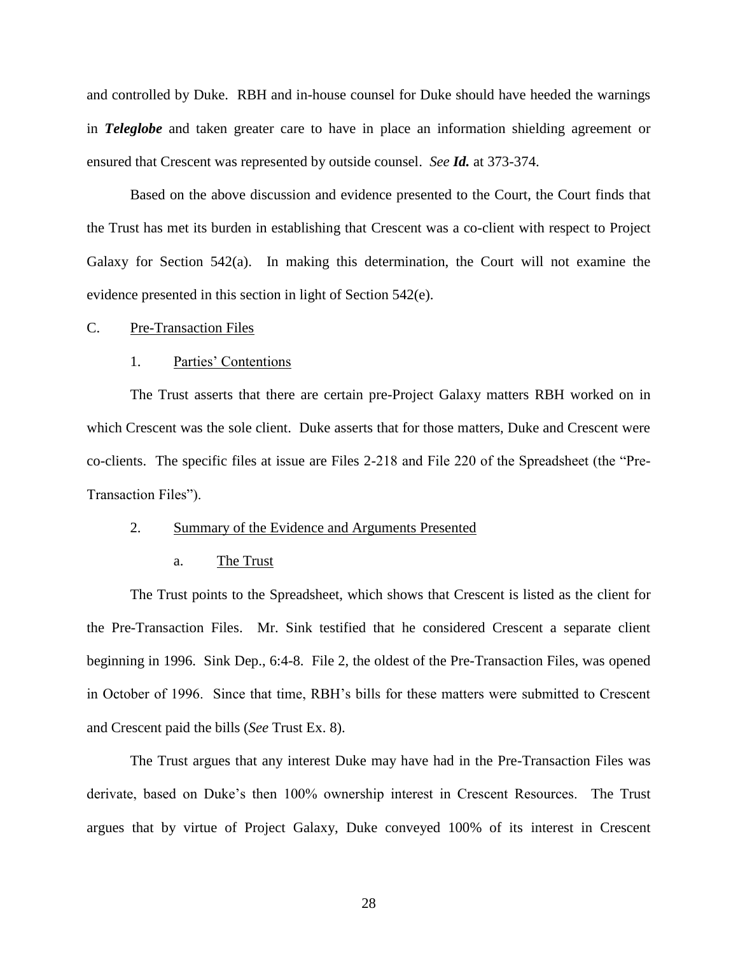and controlled by Duke. RBH and in-house counsel for Duke should have heeded the warnings in *Teleglobe* and taken greater care to have in place an information shielding agreement or ensured that Crescent was represented by outside counsel. *See Id.* at 373-374.

Based on the above discussion and evidence presented to the Court, the Court finds that the Trust has met its burden in establishing that Crescent was a co-client with respect to Project Galaxy for Section 542(a). In making this determination, the Court will not examine the evidence presented in this section in light of Section 542(e).

#### C. Pre-Transaction Files

### 1. Parties' Contentions

The Trust asserts that there are certain pre-Project Galaxy matters RBH worked on in which Crescent was the sole client. Duke asserts that for those matters, Duke and Crescent were co-clients. The specific files at issue are Files 2-218 and File 220 of the Spreadsheet (the "Pre-Transaction Files").

### 2. Summary of the Evidence and Arguments Presented

### a. The Trust

The Trust points to the Spreadsheet, which shows that Crescent is listed as the client for the Pre-Transaction Files. Mr. Sink testified that he considered Crescent a separate client beginning in 1996. Sink Dep., 6:4-8. File 2, the oldest of the Pre-Transaction Files, was opened in October of 1996. Since that time, RBH's bills for these matters were submitted to Crescent and Crescent paid the bills (*See* Trust Ex. 8).

The Trust argues that any interest Duke may have had in the Pre-Transaction Files was derivate, based on Duke's then 100% ownership interest in Crescent Resources. The Trust argues that by virtue of Project Galaxy, Duke conveyed 100% of its interest in Crescent

28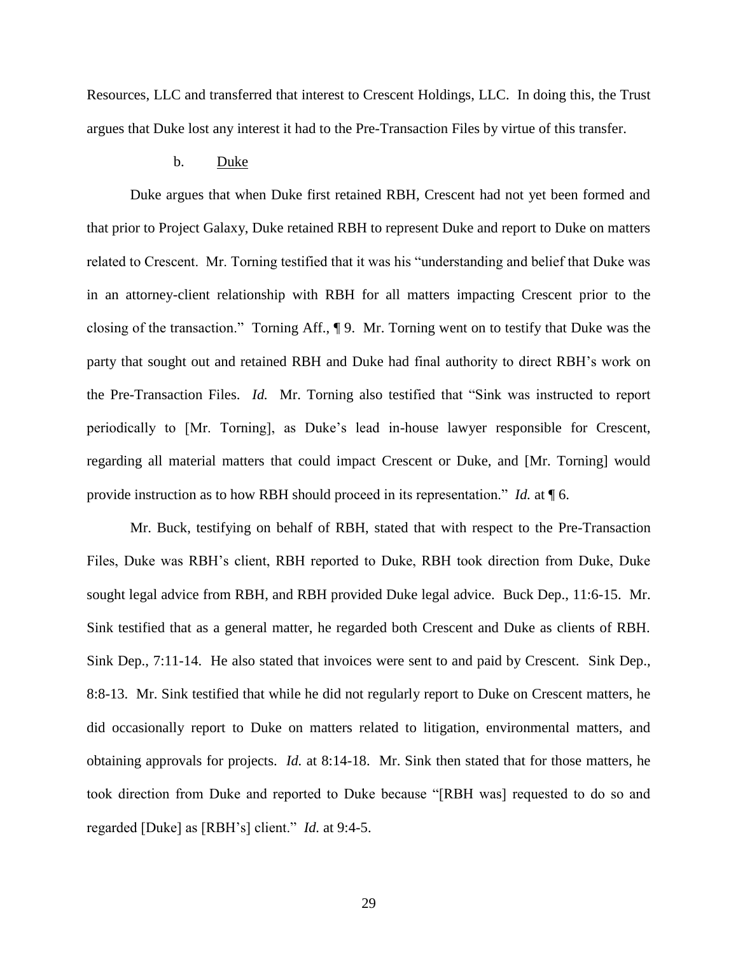Resources, LLC and transferred that interest to Crescent Holdings, LLC. In doing this, the Trust argues that Duke lost any interest it had to the Pre-Transaction Files by virtue of this transfer.

## b. Duke

Duke argues that when Duke first retained RBH, Crescent had not yet been formed and that prior to Project Galaxy, Duke retained RBH to represent Duke and report to Duke on matters related to Crescent. Mr. Torning testified that it was his "understanding and belief that Duke was in an attorney-client relationship with RBH for all matters impacting Crescent prior to the closing of the transaction." Torning Aff.,  $\P$  9. Mr. Torning went on to testify that Duke was the party that sought out and retained RBH and Duke had final authority to direct RBH's work on the Pre-Transaction Files. *Id.* Mr. Torning also testified that "Sink was instructed to report periodically to [Mr. Torning], as Duke's lead in-house lawyer responsible for Crescent, regarding all material matters that could impact Crescent or Duke, and [Mr. Torning] would provide instruction as to how RBH should proceed in its representation." *Id.* at  $\P$  6.

Mr. Buck, testifying on behalf of RBH, stated that with respect to the Pre-Transaction Files, Duke was RBH's client, RBH reported to Duke, RBH took direction from Duke, Duke sought legal advice from RBH, and RBH provided Duke legal advice. Buck Dep., 11:6-15. Mr. Sink testified that as a general matter, he regarded both Crescent and Duke as clients of RBH. Sink Dep., 7:11-14. He also stated that invoices were sent to and paid by Crescent. Sink Dep., 8:8-13. Mr. Sink testified that while he did not regularly report to Duke on Crescent matters, he did occasionally report to Duke on matters related to litigation, environmental matters, and obtaining approvals for projects. *Id.* at 8:14-18. Mr. Sink then stated that for those matters, he took direction from Duke and reported to Duke because "[RBH was] requested to do so and regarded [Duke] as [RBH's] client." *Id.* at 9:4-5.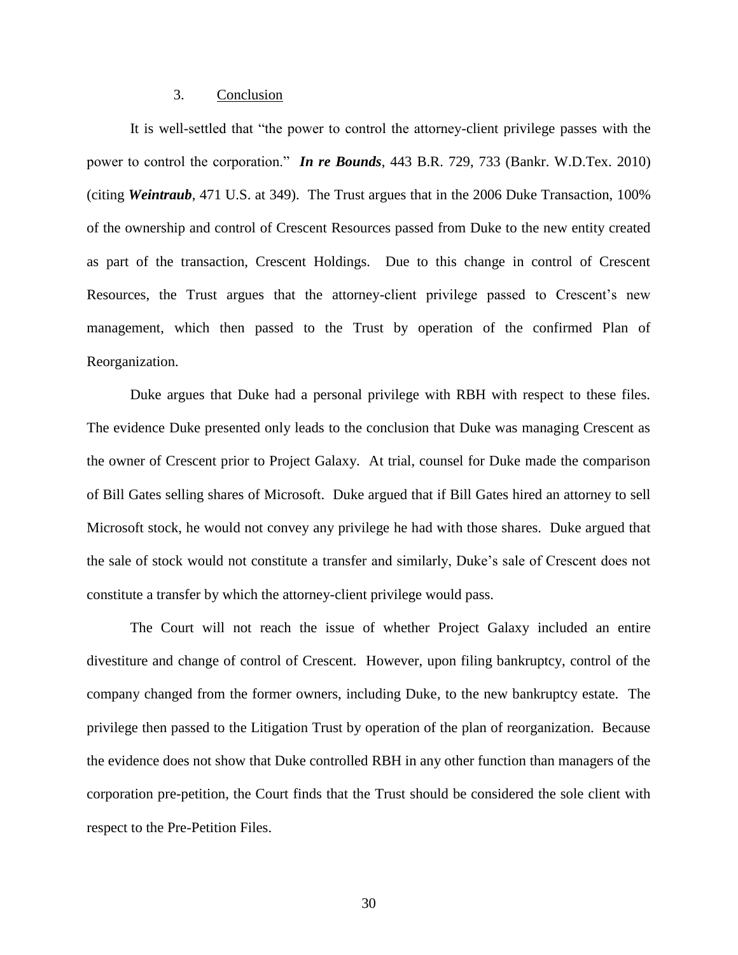# 3. Conclusion

It is well-settled that "the power to control the attorney-client privilege passes with the power to control the corporation." *In re Bounds*, 443 B.R. 729, 733 (Bankr. W.D.Tex. 2010) (citing *Weintraub*, 471 U.S. at 349). The Trust argues that in the 2006 Duke Transaction, 100% of the ownership and control of Crescent Resources passed from Duke to the new entity created as part of the transaction, Crescent Holdings. Due to this change in control of Crescent Resources, the Trust argues that the attorney-client privilege passed to Crescent's new management, which then passed to the Trust by operation of the confirmed Plan of Reorganization.

Duke argues that Duke had a personal privilege with RBH with respect to these files. The evidence Duke presented only leads to the conclusion that Duke was managing Crescent as the owner of Crescent prior to Project Galaxy. At trial, counsel for Duke made the comparison of Bill Gates selling shares of Microsoft. Duke argued that if Bill Gates hired an attorney to sell Microsoft stock, he would not convey any privilege he had with those shares. Duke argued that the sale of stock would not constitute a transfer and similarly, Duke's sale of Crescent does not constitute a transfer by which the attorney-client privilege would pass.

The Court will not reach the issue of whether Project Galaxy included an entire divestiture and change of control of Crescent. However, upon filing bankruptcy, control of the company changed from the former owners, including Duke, to the new bankruptcy estate. The privilege then passed to the Litigation Trust by operation of the plan of reorganization. Because the evidence does not show that Duke controlled RBH in any other function than managers of the corporation pre-petition, the Court finds that the Trust should be considered the sole client with respect to the Pre-Petition Files.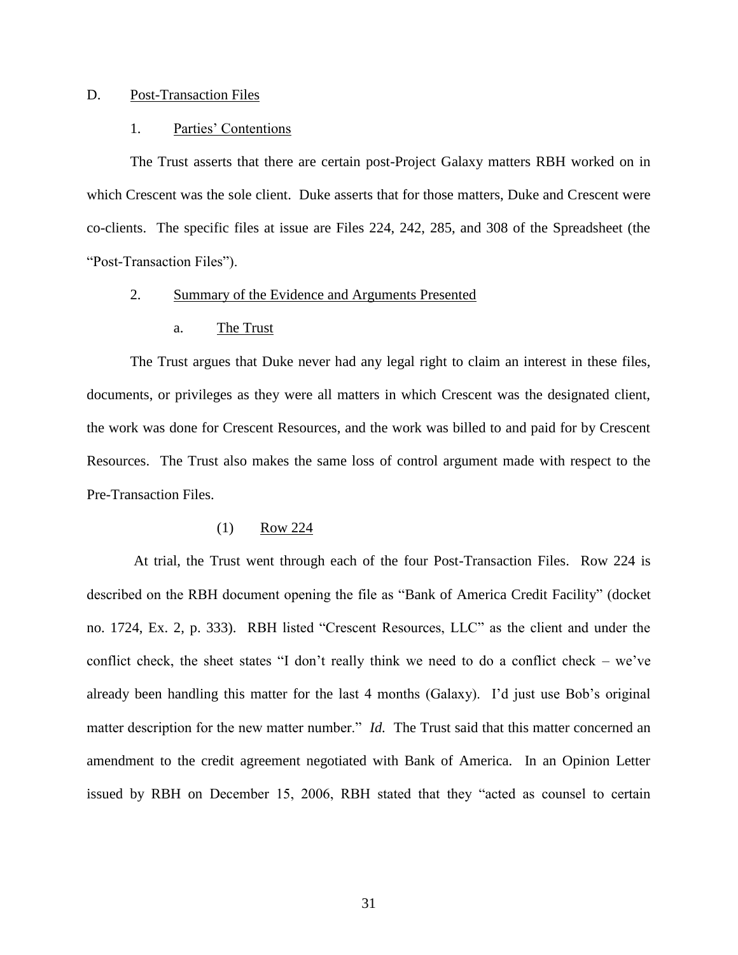# D. Post-Transaction Files

## 1. Parties' Contentions

The Trust asserts that there are certain post-Project Galaxy matters RBH worked on in which Crescent was the sole client. Duke asserts that for those matters, Duke and Crescent were co-clients. The specific files at issue are Files 224, 242, 285, and 308 of the Spreadsheet (the "Post-Transaction Files").

# 2. Summary of the Evidence and Arguments Presented

#### a. The Trust

The Trust argues that Duke never had any legal right to claim an interest in these files, documents, or privileges as they were all matters in which Crescent was the designated client, the work was done for Crescent Resources, and the work was billed to and paid for by Crescent Resources. The Trust also makes the same loss of control argument made with respect to the Pre-Transaction Files.

#### (1) Row 224

At trial, the Trust went through each of the four Post-Transaction Files. Row 224 is described on the RBH document opening the file as "Bank of America Credit Facility" (docket no. 1724, Ex. 2, p. 333). RBH listed "Crescent Resources, LLC" as the client and under the conflict check, the sheet states "I don't really think we need to do a conflict check – we've already been handling this matter for the last 4 months (Galaxy). I'd just use Bob's original matter description for the new matter number." *Id.* The Trust said that this matter concerned an amendment to the credit agreement negotiated with Bank of America. In an Opinion Letter issued by RBH on December 15, 2006, RBH stated that they "acted as counsel to certain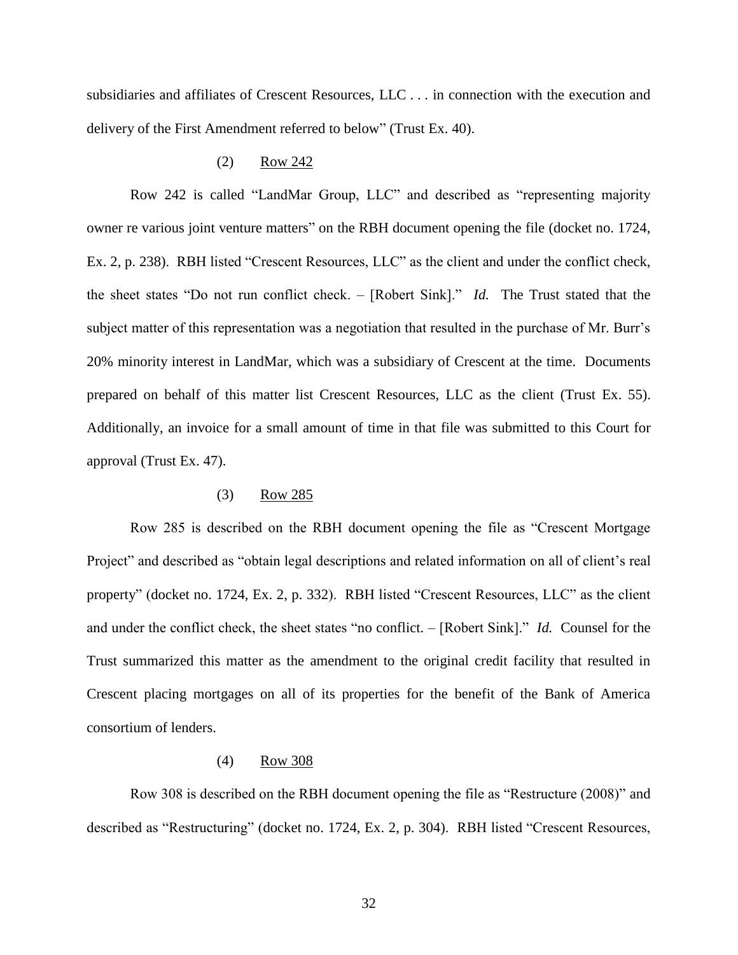subsidiaries and affiliates of Crescent Resources, LLC . . . in connection with the execution and delivery of the First Amendment referred to below" (Trust Ex. 40).

## (2) Row 242

Row 242 is called "LandMar Group, LLC" and described as "representing majority owner re various joint venture matters" on the RBH document opening the file (docket no. 1724, Ex. 2, p. 238). RBH listed "Crescent Resources, LLC" as the client and under the conflict check, the sheet states "Do not run conflict check. – [Robert Sink]." *Id.* The Trust stated that the subject matter of this representation was a negotiation that resulted in the purchase of Mr. Burr's 20% minority interest in LandMar, which was a subsidiary of Crescent at the time. Documents prepared on behalf of this matter list Crescent Resources, LLC as the client (Trust Ex. 55). Additionally, an invoice for a small amount of time in that file was submitted to this Court for approval (Trust Ex. 47).

## (3) Row 285

Row 285 is described on the RBH document opening the file as "Crescent Mortgage" Project" and described as "obtain legal descriptions and related information on all of client's real property" (docket no. 1724, Ex. 2, p. 332). RBH listed "Crescent Resources, LLC" as the client and under the conflict check, the sheet states "no conflict. – [Robert Sink]." *Id.* Counsel for the Trust summarized this matter as the amendment to the original credit facility that resulted in Crescent placing mortgages on all of its properties for the benefit of the Bank of America consortium of lenders.

### (4) Row 308

Row 308 is described on the RBH document opening the file as "Restructure (2008)" and described as "Restructuring" (docket no. 1724, Ex. 2, p. 304). RBH listed "Crescent Resources,

32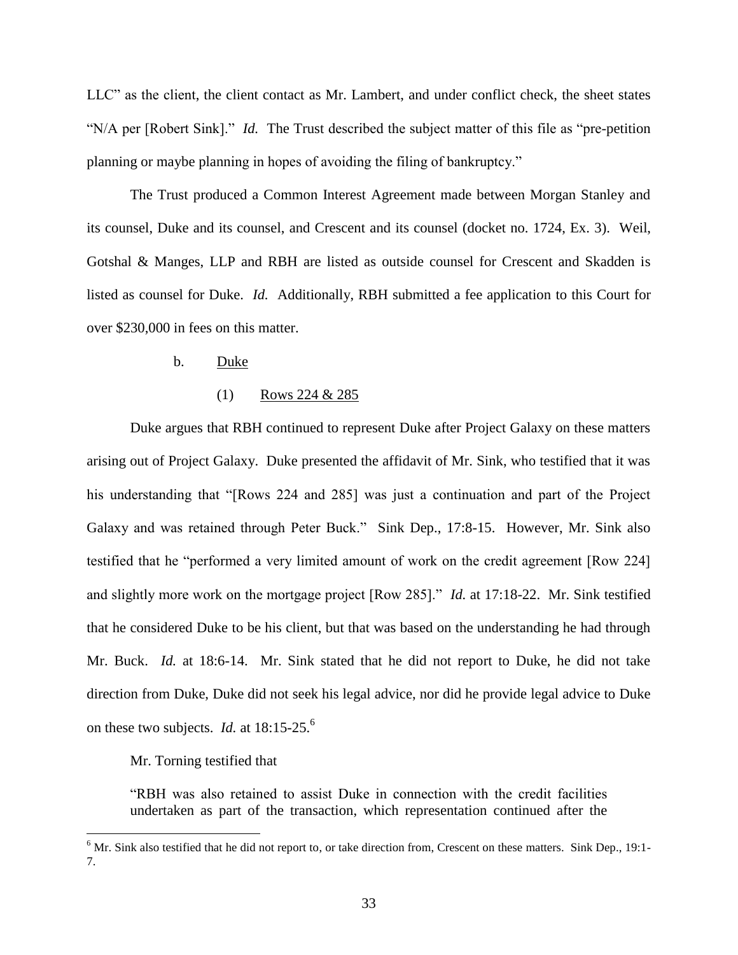LLC" as the client, the client contact as Mr. Lambert, and under conflict check, the sheet states "N/A per [Robert Sink]." *Id.* The Trust described the subject matter of this file as "pre-petition" planning or maybe planning in hopes of avoiding the filing of bankruptcy."

The Trust produced a Common Interest Agreement made between Morgan Stanley and its counsel, Duke and its counsel, and Crescent and its counsel (docket no. 1724, Ex. 3). Weil, Gotshal & Manges, LLP and RBH are listed as outside counsel for Crescent and Skadden is listed as counsel for Duke. *Id.* Additionally, RBH submitted a fee application to this Court for over \$230,000 in fees on this matter.

## b. Duke

### (1) Rows 224 & 285

Duke argues that RBH continued to represent Duke after Project Galaxy on these matters arising out of Project Galaxy. Duke presented the affidavit of Mr. Sink, who testified that it was his understanding that "[Rows 224 and 285] was just a continuation and part of the Project Galaxy and was retained through Peter Buck." Sink Dep., 17:8-15. However, Mr. Sink also testified that he "performed a very limited amount of work on the credit agreement [Row 224] and slightly more work on the mortgage project [Row 285]." *Id.* at 17:18-22. Mr. Sink testified that he considered Duke to be his client, but that was based on the understanding he had through Mr. Buck. *Id.* at 18:6-14. Mr. Sink stated that he did not report to Duke, he did not take direction from Duke, Duke did not seek his legal advice, nor did he provide legal advice to Duke on these two subjects. *Id.* at 18:15-25. 6

# Mr. Torning testified that

 $\overline{a}$ 

―RBH was also retained to assist Duke in connection with the credit facilities undertaken as part of the transaction, which representation continued after the

 $6$  Mr. Sink also testified that he did not report to, or take direction from, Crescent on these matters. Sink Dep., 19:1-7.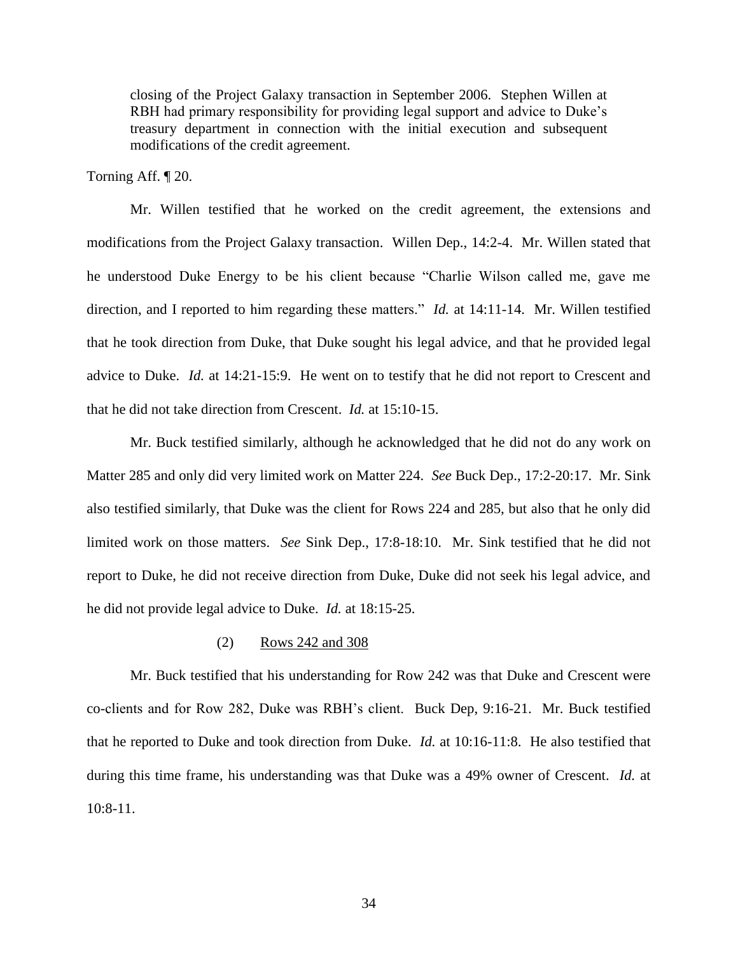closing of the Project Galaxy transaction in September 2006. Stephen Willen at RBH had primary responsibility for providing legal support and advice to Duke's treasury department in connection with the initial execution and subsequent modifications of the credit agreement.

Torning Aff. ¶ 20.

Mr. Willen testified that he worked on the credit agreement, the extensions and modifications from the Project Galaxy transaction. Willen Dep., 14:2-4. Mr. Willen stated that he understood Duke Energy to be his client because "Charlie Wilson called me, gave me direction, and I reported to him regarding these matters." *Id.* at 14:11-14. Mr. Willen testified that he took direction from Duke, that Duke sought his legal advice, and that he provided legal advice to Duke. *Id.* at 14:21-15:9. He went on to testify that he did not report to Crescent and that he did not take direction from Crescent. *Id.* at 15:10-15.

Mr. Buck testified similarly, although he acknowledged that he did not do any work on Matter 285 and only did very limited work on Matter 224. *See* Buck Dep., 17:2-20:17. Mr. Sink also testified similarly, that Duke was the client for Rows 224 and 285, but also that he only did limited work on those matters. *See* Sink Dep., 17:8-18:10. Mr. Sink testified that he did not report to Duke, he did not receive direction from Duke, Duke did not seek his legal advice, and he did not provide legal advice to Duke. *Id.* at 18:15-25.

### (2) Rows 242 and 308

Mr. Buck testified that his understanding for Row 242 was that Duke and Crescent were co-clients and for Row 282, Duke was RBH's client. Buck Dep, 9:16-21. Mr. Buck testified that he reported to Duke and took direction from Duke. *Id.* at 10:16-11:8. He also testified that during this time frame, his understanding was that Duke was a 49% owner of Crescent. *Id.* at 10:8-11.

34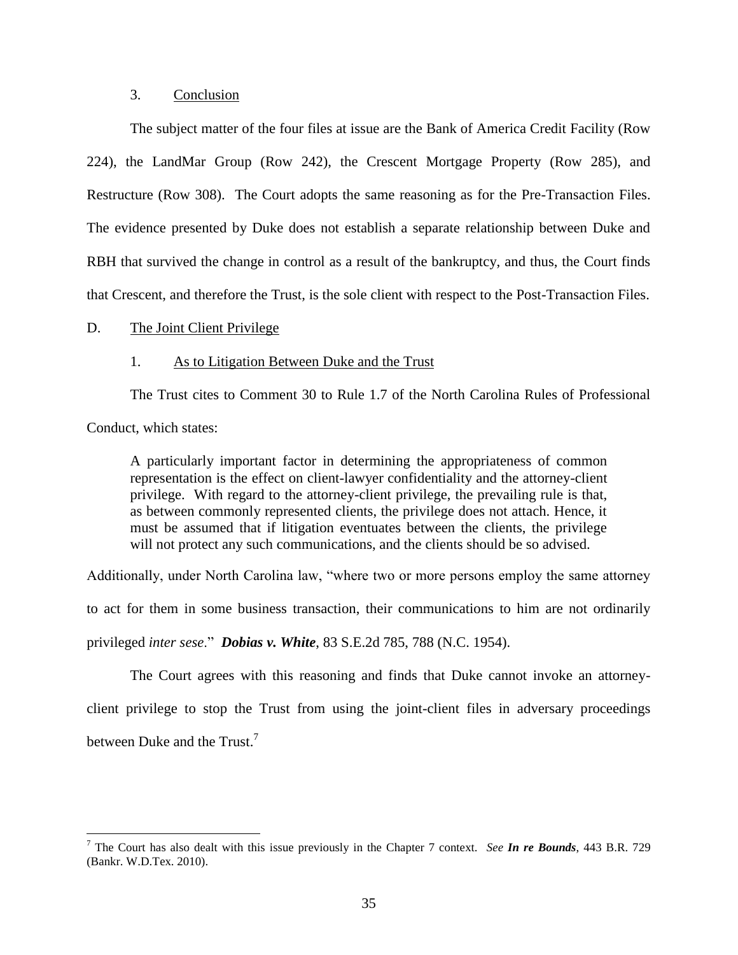# 3. Conclusion

The subject matter of the four files at issue are the Bank of America Credit Facility (Row 224), the LandMar Group (Row 242), the Crescent Mortgage Property (Row 285), and Restructure (Row 308). The Court adopts the same reasoning as for the Pre-Transaction Files. The evidence presented by Duke does not establish a separate relationship between Duke and RBH that survived the change in control as a result of the bankruptcy, and thus, the Court finds that Crescent, and therefore the Trust, is the sole client with respect to the Post-Transaction Files.

### D. The Joint Client Privilege

 $\overline{a}$ 

#### 1. As to Litigation Between Duke and the Trust

The Trust cites to Comment 30 to Rule 1.7 of the North Carolina Rules of Professional Conduct, which states:

A particularly important factor in determining the appropriateness of common representation is the effect on client-lawyer confidentiality and the attorney-client privilege. With regard to the attorney-client privilege, the prevailing rule is that, as between commonly represented clients, the privilege does not attach. Hence, it must be assumed that if litigation eventuates between the clients, the privilege will not protect any such communications, and the clients should be so advised.

Additionally, under North Carolina law, "where two or more persons employ the same attorney

to act for them in some business transaction, their communications to him are not ordinarily

privileged *inter sese*.‖ *Dobias v. White*, 83 S.E.2d 785, 788 (N.C. 1954).

The Court agrees with this reasoning and finds that Duke cannot invoke an attorneyclient privilege to stop the Trust from using the joint-client files in adversary proceedings between Duke and the Trust.<sup>7</sup>

<sup>7</sup> The Court has also dealt with this issue previously in the Chapter 7 context. *See In re Bounds*, 443 B.R. 729 (Bankr. W.D.Tex. 2010).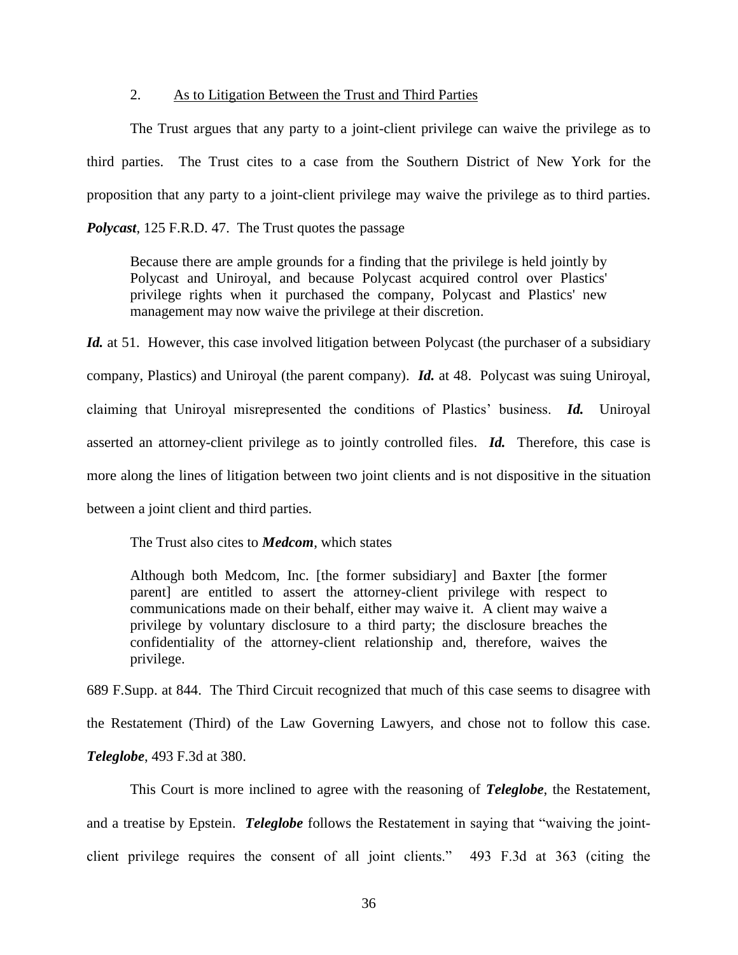# 2. As to Litigation Between the Trust and Third Parties

The Trust argues that any party to a joint-client privilege can waive the privilege as to third parties. The Trust cites to a case from the Southern District of New York for the proposition that any party to a joint-client privilege may waive the privilege as to third parties. *Polycast*, 125 F.R.D. 47. The Trust quotes the passage

Because there are ample grounds for a finding that the privilege is held jointly by Polycast and Uniroyal, and because Polycast acquired control over Plastics' privilege rights when it purchased the company, Polycast and Plastics' new management may now waive the privilege at their discretion.

*Id.* at 51. However, this case involved litigation between Polycast (the purchaser of a subsidiary company, Plastics) and Uniroyal (the parent company). *Id.* at 48. Polycast was suing Uniroyal, claiming that Uniroyal misrepresented the conditions of Plastics' business. *Id.* Uniroyal asserted an attorney-client privilege as to jointly controlled files. *Id.* Therefore, this case is more along the lines of litigation between two joint clients and is not dispositive in the situation between a joint client and third parties.

The Trust also cites to *Medcom*, which states

Although both Medcom, Inc. [the former subsidiary] and Baxter [the former parent] are entitled to assert the attorney-client privilege with respect to communications made on their behalf, either may waive it. A client may waive a privilege by voluntary disclosure to a third party; the disclosure breaches the confidentiality of the attorney-client relationship and, therefore, waives the privilege.

689 F.Supp. at 844. The Third Circuit recognized that much of this case seems to disagree with the Restatement (Third) of the Law Governing Lawyers, and chose not to follow this case. *Teleglobe*, 493 F.3d at 380.

This Court is more inclined to agree with the reasoning of *Teleglobe*, the Restatement, and a treatise by Epstein. *Teleglobe* follows the Restatement in saying that "waiving the jointclient privilege requires the consent of all joint clients." 493 F.3d at 363 (citing the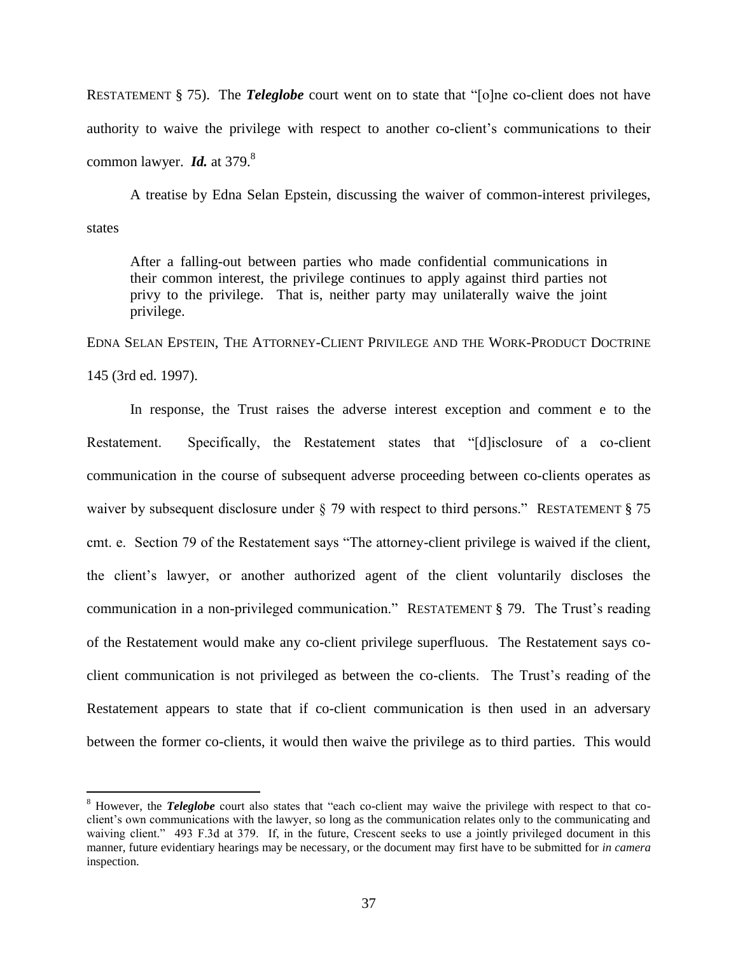RESTATEMENT § 75). The *Teleglobe* court went on to state that "[o]ne co-client does not have authority to waive the privilege with respect to another co-client's communications to their common lawyer. **Id.** at 379.<sup>8</sup>

A treatise by Edna Selan Epstein, discussing the waiver of common-interest privileges, states

After a falling-out between parties who made confidential communications in their common interest, the privilege continues to apply against third parties not privy to the privilege. That is, neither party may unilaterally waive the joint privilege.

EDNA SELAN EPSTEIN, THE ATTORNEY-CLIENT PRIVILEGE AND THE WORK-PRODUCT DOCTRINE 145 (3rd ed. 1997).

In response, the Trust raises the adverse interest exception and comment e to the Restatement. Specifically, the Restatement states that "[d]isclosure of a co-client communication in the course of subsequent adverse proceeding between co-clients operates as waiver by subsequent disclosure under  $\S$  79 with respect to third persons." RESTATEMENT  $\S$  75 cmt. e. Section 79 of the Restatement says "The attorney-client privilege is waived if the client, the client's lawyer, or another authorized agent of the client voluntarily discloses the communication in a non-privileged communication." RESTATEMENT § 79. The Trust's reading of the Restatement would make any co-client privilege superfluous. The Restatement says coclient communication is not privileged as between the co-clients. The Trust's reading of the Restatement appears to state that if co-client communication is then used in an adversary between the former co-clients, it would then waive the privilege as to third parties. This would

 $\overline{a}$ 

<sup>&</sup>lt;sup>8</sup> However, the *Teleglobe* court also states that "each co-client may waive the privilege with respect to that coclient's own communications with the lawyer, so long as the communication relates only to the communicating and waiving client." 493 F.3d at 379. If, in the future, Crescent seeks to use a jointly privileged document in this manner, future evidentiary hearings may be necessary, or the document may first have to be submitted for *in camera* inspection.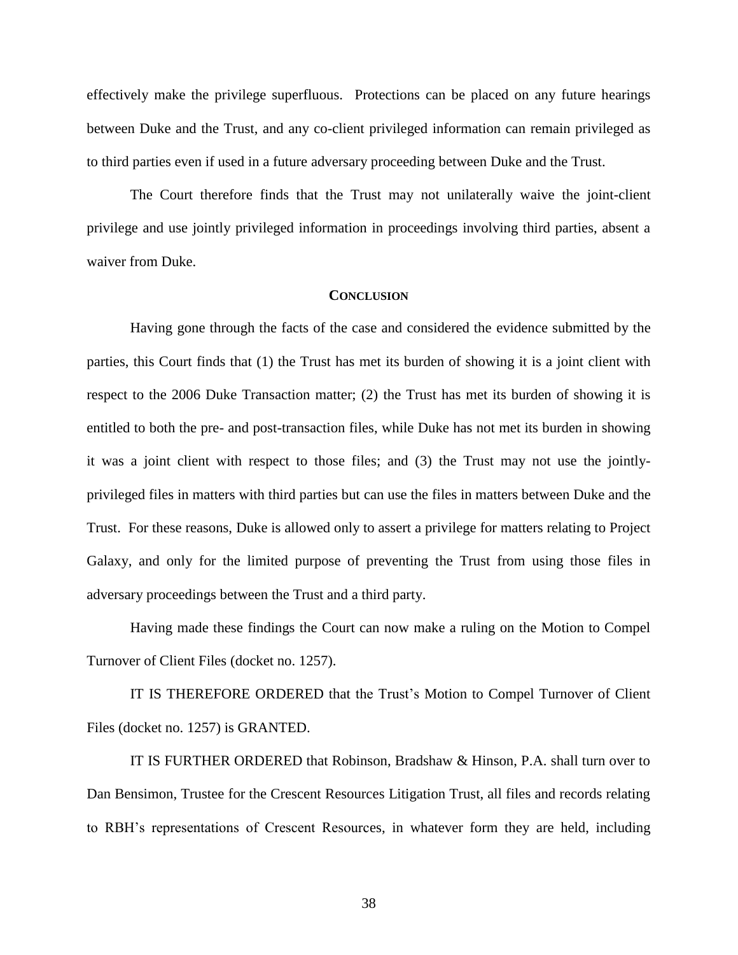effectively make the privilege superfluous. Protections can be placed on any future hearings between Duke and the Trust, and any co-client privileged information can remain privileged as to third parties even if used in a future adversary proceeding between Duke and the Trust.

The Court therefore finds that the Trust may not unilaterally waive the joint-client privilege and use jointly privileged information in proceedings involving third parties, absent a waiver from Duke.

#### **CONCLUSION**

Having gone through the facts of the case and considered the evidence submitted by the parties, this Court finds that (1) the Trust has met its burden of showing it is a joint client with respect to the 2006 Duke Transaction matter; (2) the Trust has met its burden of showing it is entitled to both the pre- and post-transaction files, while Duke has not met its burden in showing it was a joint client with respect to those files; and (3) the Trust may not use the jointlyprivileged files in matters with third parties but can use the files in matters between Duke and the Trust. For these reasons, Duke is allowed only to assert a privilege for matters relating to Project Galaxy, and only for the limited purpose of preventing the Trust from using those files in adversary proceedings between the Trust and a third party.

Having made these findings the Court can now make a ruling on the Motion to Compel Turnover of Client Files (docket no. 1257).

IT IS THEREFORE ORDERED that the Trust's Motion to Compel Turnover of Client Files (docket no. 1257) is GRANTED.

IT IS FURTHER ORDERED that Robinson, Bradshaw & Hinson, P.A. shall turn over to Dan Bensimon, Trustee for the Crescent Resources Litigation Trust, all files and records relating to RBH's representations of Crescent Resources, in whatever form they are held, including

38